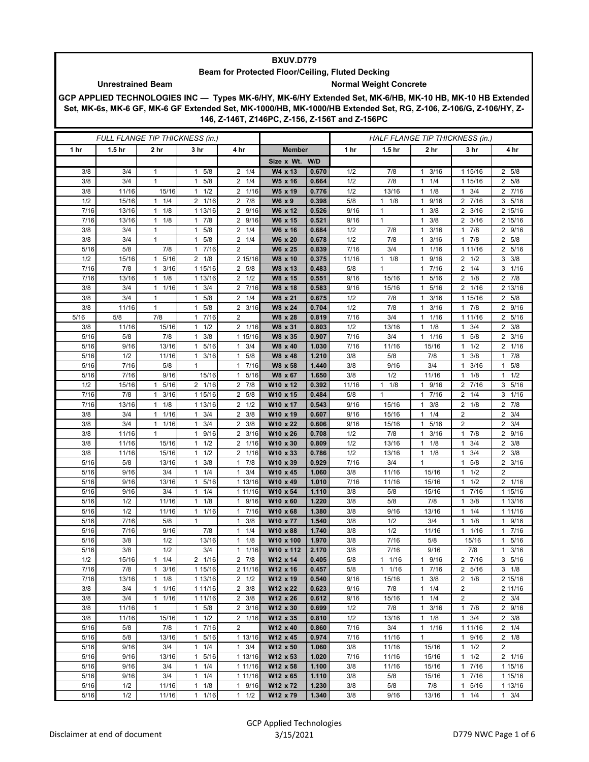## **BXUV.D779**

## **Beam for Protected Floor/Ceiling, Fluted Decking**

## Unrestrained Beam **Normal Weight Concrete**

**GCP APPLIED TECHNOLOGIES INC — Types MK-6/HY, MK-6/HY Extended Set, MK-6/HB, MK-10 HB, MK-10 HB Extended Set, MK-6s, MK-6 GF, MK-6 GF Extended Set, MK-1000/HB, MK-1000/HB Extended Set, RG, Z-106, Z-106/G, Z-106/HY, Z-146, Z-146T, Z146PC, Z-156, Z-156T and Z-156PC**

| FULL FLANGE TIP THICKNESS (in.) |                   |                                   |                      | HALF FLANGE TIP THICKNESS (in.) |                      |                |                 |                     |                                             |                        |                                     |
|---------------------------------|-------------------|-----------------------------------|----------------------|---------------------------------|----------------------|----------------|-----------------|---------------------|---------------------------------------------|------------------------|-------------------------------------|
| 1 hr                            | 1.5 <sub>hr</sub> | 2 hr                              | 3 hr                 | 4 hr                            | <b>Member</b>        |                | 1 <sub>hr</sub> | 1.5 <sub>hr</sub>   | 2 hr                                        | 3 hr                   | 4 hr                                |
|                                 |                   |                                   |                      |                                 | Size x Wt. W/D       |                |                 |                     |                                             |                        |                                     |
| 3/8                             | 3/4               | $\mathbf{1}$                      | 1 5/8                | $2 \t1/4$                       | W4 x 13              | 0.670          | 1/2             | 7/8                 | 3/16<br>$\mathbf{1}$                        | 1 15/16                | 2 5/8                               |
| 3/8                             | 3/4               | $\mathbf{1}$                      | $1 \t5/8$            | $2 \t1/4$                       | W5 x 16              | 0.664          | 1/2             | 7/8                 | 1/4<br>$\mathbf{1}$                         | 1 15/16                | 2 5/8                               |
| 3/8                             | 11/16             | 15/16                             | 1/2<br>$\mathbf{1}$  | 2 1/16                          | W5 x 19              | 0.776          | 1/2             | 13/16               | 1/8<br>$\mathbf{1}$                         | 3/4                    | 2 7/16                              |
| 1/2                             | 15/16             | $1 \t1/4$                         | 2 1/16               | $2 \t 7/8$                      | W6 x 9               | 0.398          | 5/8             | $1 \t1/8$           | 9/16<br>$\mathbf{1}$                        | 2 7/16                 | 3 5/16                              |
| 7/16                            | 13/16             | 1/8<br>$\mathbf{1}$               | 1 13/16              | 2 9/16                          | W6 x 12              | 0.526          | 9/16            | $\mathbf{1}$        | 3/8<br>$\mathbf{1}$                         | $2 \frac{3}{16}$       | 2 15/16                             |
| 7/16                            | 13/16             | $1 \t1/8$                         | 17/8                 | 2 9/16                          | W6 x 15              | 0.521          | 9/16            | $\mathbf{1}$        | 3/8<br>$\mathbf{1}$                         | $2 \frac{3}{16}$       | 2 15/16                             |
| 3/8                             | 3/4               | 1                                 | $1 \t5/8$            | $2 \t1/4$                       | W6 x 16              | 0.684          | 1/2             | 7/8                 | 3/16<br>1                                   | $\overline{7}/8$<br>1. | 2 9/16                              |
| 3/8                             | 3/4               | $\mathbf{1}$                      | $1 \t5/8$            | $2 \t1/4$                       | W6 x 20              | 0.678          | 1/2             | 7/8                 | 3/16<br>$\mathbf{1}$                        | 7/8<br>1               | 2 5/8                               |
| 5/16                            | 5/8               | 7/8                               | 1 7/16               | $\overline{2}$                  | W6 x 25              | 0.839          | 7/16            | 3/4                 | 1/16<br>$\mathbf{1}$                        | 1 11/16                | 2 5/16                              |
| 1/2                             | 15/16             | 5/16<br>1                         | $2 \t1/8$            | 2 15/16                         | W8 x 10              | 0.375          | 11/16           | $1 \t1/8$           | 9/16<br>$\mathbf{1}$                        | $2 \frac{1}{2}$        | $3 \frac{3}{8}$                     |
| 7/16                            | 7/8               | 3/16<br>1                         | 1 15/16              | 2 5/8                           | W8 x 13              | 0.483          | 5/8             | $\mathbf{1}$        | 7/16<br>$\mathbf{1}$                        | 2<br>1/4               | 3 1/16                              |
| 7/16                            | 13/16             | 1/8<br>1                          | 1 13/16              | $2 \frac{1}{2}$                 | W8 x 15              | 0.551          | 9/16            | 15/16               | 5/16<br>$\mathbf{1}$                        | $2 \t1/8$              | $2 \t 7/8$                          |
| 3/8                             | 3/4               | 1 1/16                            | $1 \t3/4$            | 2 7/16                          | W8 x 18              | 0.583          | 9/16            | 15/16               | 5/16<br>1                                   | 2 1/16                 | 2 13/16                             |
| 3/8                             | 3/4               | 1                                 | 5/8<br>$\mathbf{1}$  | $2 \t1/4$                       | W8 x 21              | 0.675          | 1/2             | 7/8                 | 3/16<br>$\mathbf{1}$                        | 1 15/16                | 2 5/8                               |
| 3/8                             | 11/16             | $\mathbf{1}$                      | 5/8<br>$\mathbf{1}$  | $2 \frac{3}{16}$                | W8 x 24              | 0.704          | 1/2             | 7/8                 | 3/16<br>$\mathbf{1}$                        | 17/8                   | 2 9/16                              |
| 5/16                            | 5/8               | 7/8                               | 1 7/16<br>$1 \t1/2$  | 2                               | W8 x 28              | 0.819          | 7/16<br>1/2     | 3/4                 | 1/16<br>$\mathbf{1}$<br>1/8<br>$\mathbf{1}$ | 1 11/16<br>1           | 2 5/16                              |
| 3/8<br>5/16                     | 11/16<br>5/8      | 15/16<br>7/8                      | 3/8<br>$\mathbf{1}$  | 2 1/16<br>1 15/16               | W8 x 31<br>W8 x 35   | 0.803<br>0.907 | 7/16            | 13/16<br>3/4        | 1/16<br>$\mathbf{1}$                        | 3/4<br>5/8<br>1        | $2 \frac{3}{8}$<br>$2 \frac{3}{16}$ |
| 5/16                            | 9/16              | 13/16                             | 5/16<br>$\mathbf{1}$ | 3/4<br>1                        | W8 x 40              | 1.030          | 7/16            | 11/16               | 15/16                                       | 1/2<br>1               | 2 1/16                              |
| 5/16                            | 1/2               | 11/16                             | $1 \t3/16$           | $1 \t5/8$                       | W8 x 48              | 1.210          | 3/8             | 5/8                 | 7/8                                         | 3/8<br>1               | $1 \t7/8$                           |
| 5/16                            | 7/16              | 5/8                               | $\mathbf{1}$         | 7/16<br>1                       | W8 x 58              | 1.440          | 3/8             | 9/16                | 3/4                                         | 3/16<br>1              | 5/8<br>$\mathbf{1}$                 |
| 5/16                            | 7/16              | 9/16                              | 15/16                | 5/16<br>1                       | W8 x 67              | 1.650          | 3/8             | 1/2                 | 11/16                                       | 1/8                    | $1 \t1/2$                           |
| 1/2                             | 15/16             | 5/16<br>1                         | 2 1/16               | $2 \t 7/8$                      | W10 x 12             | 0.392          | 11/16           | $1 \t1/8$           | 9/16<br>$\mathbf{1}$                        | 2 7/16                 | 3 5/16                              |
| 7/16                            | 7/8               | 3/16<br>$\mathbf{1}$              | 1 15/16              | 2 5/8                           | W10 x 15             | 0.484          | 5/8             | $\mathbf{1}$        | 7/16<br>1                                   | $2 \t1/4$              | 3 1/16                              |
| 7/16                            | 13/16             | 1<br>1/8                          | 1 13/16              | $2 \frac{1}{2}$                 | W10 x 17             | 0.543          | 9/16            | 15/16               | 3/8<br>$\mathbf{1}$                         | $2 \t1/8$              | 2 7/8                               |
| 3/8                             | 3/4               | 1/16<br>1                         | $1 \t3/4$            | $2 \frac{3}{8}$                 | W10 x 19             | 0.607          | 9/16            | 15/16               | 1/4<br>$\mathbf{1}$                         | 2                      | $2 \frac{3}{4}$                     |
| 3/8                             | 3/4               | 1 1/16                            | $1 \t3/4$            | $2 \frac{3}{8}$                 | W10 x 22             | 0.606          | 9/16            | 15/16               | 5/16<br>1                                   | 2                      | $2 \frac{3}{4}$                     |
| 3/8                             | 11/16             | $\mathbf{1}$                      | 1 9/16               | $2 \frac{3}{16}$                | W10 x 26             | 0.708          | 1/2             | 7/8                 | 3/16<br>$\mathbf{1}$                        | 7/8<br>1               | 2 9/16                              |
| 3/8                             | 11/16             | 15/16                             | $1 \t1/2$            | 2 1/16                          | W10 x 30             | 0.809          | 1/2             | 13/16               | 1/8<br>$\mathbf{1}$                         | 3/4<br>1               | $2 \frac{3}{8}$                     |
| 3/8                             | 11/16             | 15/16                             | $1 \t1/2$            | 2 1/16                          | W10 x 33             | 0.786          | 1/2             | 13/16               | 1/8<br>$\mathbf{1}$                         | 3/4<br>1               | $2 \frac{3}{8}$                     |
| 5/16                            | 5/8               | 13/16                             | $1 \t3/8$            | 17/8                            | W10 x 39             | 0.929          | 7/16            | 3/4                 | $\mathbf{1}$                                | 5/8<br>$\mathbf{1}$    | $2 \frac{3}{16}$                    |
| 5/16                            | 9/16              | 3/4                               | $1 \t1/4$            | $1 \t3/4$                       | W <sub>10</sub> x 45 | 1.060          | 3/8             | 11/16               | 15/16                                       | 1/2<br>$\mathbf{1}$    | 2                                   |
| 5/16                            | 9/16              | 13/16                             | 5/16<br>$\mathbf{1}$ | 1 13/16                         | W10 x 49             | 1.010          | 7/16            | 11/16               | 15/16                                       | 1/2<br>1               | 2 1/16                              |
| 5/16                            | 9/16              | 3/4                               | $1 \t1/4$            | 1 11/16                         | W10 x 54             | 1.110          | 3/8             | 5/8                 | 15/16                                       | 7/16<br>1              | 1 15/16                             |
| 5/16                            | 1/2               | 11/16                             | $1 \t1/8$            | 1 9/16                          | W10 x 60             | 1.220          | 3/8             | 5/8                 | 7/8                                         | 3/8<br>1               | 1 13/16                             |
| 5/16                            | 1/2               | 11/16                             | 1/16<br>$\mathbf{1}$ | 7/16<br>1                       | W10 x 68             | 1.380          | 3/8             | 9/16                | 13/16                                       | 1/4                    | 1 11/16                             |
| 5/16                            | 7/16              | 5/8                               | $\mathbf{1}$         | 3/8<br>1                        | W10 x 77             | 1.540          | 3/8             | 1/2                 | 3/4                                         | 1/8<br>1               | 1 9/16                              |
| 5/16                            | 7/16              | 9/16                              | 7/8                  | $1 \t1/4$                       | W10 x 88             | 1.740          | 3/8             | 1/2                 | 11/16                                       | 1 1/16                 | 17/16                               |
| 5/16                            | 3/8               | 1/2                               | 13/16                | 1/8<br>1                        | W10 x 100            | 1.970          | 3/8             | 7/16                | 5/8                                         | 15/16                  | 5/16<br>1.                          |
| 5/16                            | 3/8               | 1/2                               | 3/4                  | 1 1/16                          | W10 x 112            | 2.170          | 3/8             | 7/16                | 9/16                                        | 7/8                    | 3/16<br>$\mathbf{1}$                |
| 1/2                             | 15/16             | 1/4<br>$\mathbf{1}$               | 2 1/16               | 2 7/8                           | W12 x 14<br>W12 x 16 | 0.405          | 5/8             | $1 \t1/16$          | 9/16<br>$\mathbf{1}$                        | 2 7/16                 | 3<br>5/16                           |
| 7/16<br>7/16                    | 7/8               | $1 \t3/16$<br>1/8<br>$\mathbf{1}$ | 1 15/16<br>1 13/16   | 2 11/16<br>$2 \frac{1}{2}$      | W12 x 19             | 0.457<br>0.540 | 5/8<br>9/16     | $1 \t1/16$<br>15/16 | 7/16<br>$\mathbf{1}$<br>$\mathbf{1}$<br>3/8 | 2 5/16<br>$2 \t1/8$    | $3 \t1/8$<br>2 15/16                |
| 3/8                             | 13/16<br>3/4      | 1 1/16                            | 1 11/16              | $2 \frac{3}{8}$                 | W12 x 22             | 0.623          | 9/16            | 7/8                 | 1/4<br>$\mathbf{1}$                         | $\overline{2}$         | 2 11/16                             |
| 3/8                             | 3/4               | 11/16                             | 1 11/16              | $2 \frac{3}{8}$                 | W12 x 26             | 0.612          | 9/16            | 15/16               | 1/4<br>$\mathbf{1}$                         | 2                      | $2 \frac{3}{4}$                     |
| 3/8                             | 11/16             | $\mathbf{1}$                      | $1 \t5/8$            | $2 \frac{3}{16}$                | W12 x 30             | 0.699          | 1/2             | 7/8                 | 3/16<br>$\mathbf{1}$                        | $1 \t7/8$              | 2 9/16                              |
| 3/8                             | 11/16             | 15/16                             | $1 \t1/2$            | 2 1/16                          | W12 x 35             | 0.810          | 1/2             | 13/16               | 1/8<br>$\mathbf{1}$                         | $1 \t3/4$              | $2 \frac{3}{8}$                     |
| 5/16                            | 5/8               | 7/8                               | 17/16                | $\overline{2}$                  | W12 x 40             | 0.860          | 7/16            | 3/4                 | 1/16<br>$\mathbf{1}$                        | 1 1 1 / 1 6            | $2 \t1/4$                           |
| 5/16                            | 5/8               | 13/16                             | 1 5/16               | 1 13/16                         | W12 x 45             | 0.974          | 7/16            | 11/16               | $\mathbf{1}$                                | 1 9/16                 | $2 \t1/8$                           |
| 5/16                            | 9/16              | 3/4                               | $1 \t1/4$            | $1 \t3/4$                       | W12 x 50             | 1.060          | 3/8             | 11/16               | 15/16                                       | 1/2<br>1               | $\overline{2}$                      |
| 5/16                            | 9/16              | 13/16                             | 5/16<br>$\mathbf{1}$ | 1 13/16                         | W12 x 53             | 1.020          | 7/16            | 11/16               | 15/16                                       | 1/2<br>1               | 2 1/16                              |
| 5/16                            | 9/16              | 3/4                               | $1 \t1/4$            | 1 11/16                         | W12 x 58             | 1.100          | 3/8             | 11/16               | 15/16                                       | 7/16<br>$\mathbf{1}$   | 1 15/16                             |
| 5/16                            | 9/16              | 3/4                               | $1 \t1/4$            | 1 11/16                         | W12 x 65             | 1.110          | 3/8             | 5/8                 | 15/16                                       | 7/16<br>$\mathbf{1}$   | 1 15/16                             |
| 5/16                            | 1/2               | 11/16                             | $1 \t1/8$            | 1 9/16                          | W12 x 72             | 1.230          | 3/8             | 5/8                 | 7/8                                         | 5/16<br>$\mathbf{1}$   | 1 13/16                             |
| 5/16                            | 1/2               | 11/16                             | 1 1/16               | $1 \t1/2$                       | W12 x 79             | 1.340          | 3/8             | 9/16                | 13/16                                       | $1 \t1/4$              | $1 \t3/4$                           |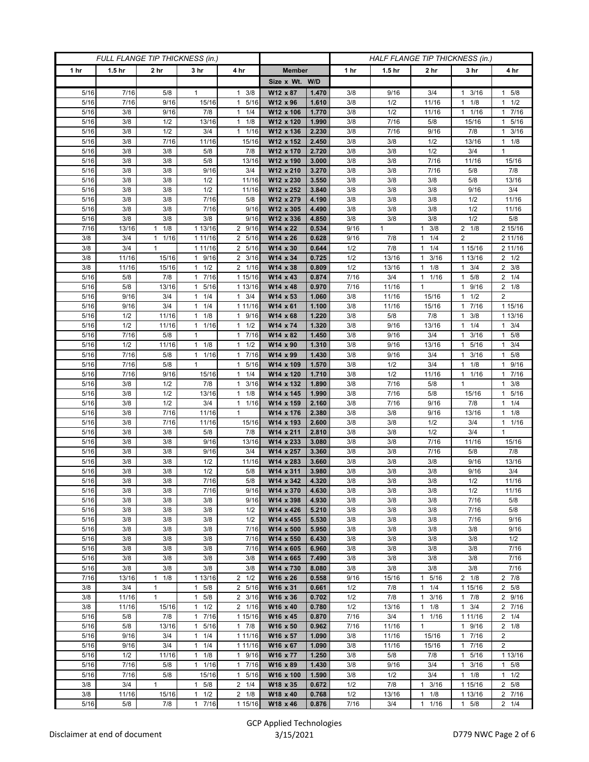| FULL FLANGE TIP THICKNESS (in.) |                   |                              |                              |                            | HALF FLANGE TIP THICKNESS (in.) |                |             |                   |                                             |                       |                               |
|---------------------------------|-------------------|------------------------------|------------------------------|----------------------------|---------------------------------|----------------|-------------|-------------------|---------------------------------------------|-----------------------|-------------------------------|
| 1 hr                            | 1.5 <sub>hr</sub> | 2 <sub>hr</sub>              | 3 <sub>hr</sub>              | 4 hr                       | <b>Member</b>                   |                | 1 hr        | 1.5 <sub>hr</sub> | 2 <sub>hr</sub>                             | 3 <sub>hr</sub>       | 4 hr                          |
|                                 |                   |                              |                              |                            | Size x Wt. W/D                  |                |             |                   |                                             |                       |                               |
| 5/16                            | 7/16              | 5/8                          | $\mathbf{1}$                 | 3/8<br>$\mathbf{1}$        | W12 x 87                        | 1.470          | 3/8         | 9/16              | 3/4                                         | 3/16<br>1             | 1 5/8                         |
| 5/16                            | 7/16              | 9/16                         | 15/16                        | 5/16<br>$\mathbf{1}$       | W12 x 96                        | 1.610          | 3/8         | 1/2               | 11/16                                       | 1/8<br>$\mathbf{1}$   | $1 \t1/2$                     |
| 5/16<br>5/16                    | 3/8<br>3/8        | 9/16<br>1/2                  | 7/8<br>13/16                 | $1 \t1/4$<br>$1 \t1/8$     | W12 x 106<br>W12 x 120          | 1.770<br>1.990 | 3/8<br>3/8  | 1/2<br>7/16       | 11/16<br>5/8                                | 11/16<br>15/16        | 17/16<br>5/16<br>$\mathbf{1}$ |
| 5/16                            | 3/8               | 1/2                          | 3/4                          | $1 \t1/16$                 | W12 x 136                       | 2.230          | 3/8         | 7/16              | 9/16                                        | 7/8                   | $1 \t3/16$                    |
| 5/16                            | 3/8               | 7/16                         | 11/16                        | 15/16                      | W12 x 152                       | 2.450          | 3/8         | 3/8               | 1/2                                         | 13/16                 | $1 \t1/8$                     |
| 5/16                            | 3/8               | 3/8                          | 5/8                          | 7/8                        | W12 x 170                       | 2.720          | 3/8         | 3/8               | 1/2                                         | 3/4                   | $\mathbf{1}$                  |
| 5/16                            | 3/8               | 3/8                          | 5/8                          | 13/16                      | W12 x 190                       | 3.000          | 3/8         | 3/8               | 7/16                                        | 11/16                 | 15/16                         |
| 5/16                            | 3/8               | 3/8                          | 9/16                         | 3/4                        | W12 x 210                       | 3.270          | 3/8         | 3/8               | 7/16                                        | 5/8                   | 7/8                           |
| 5/16                            | 3/8               | 3/8                          | 1/2                          | 11/16                      | W12 x 230                       | 3.550          | 3/8         | 3/8               | 3/8                                         | 5/8                   | 13/16                         |
| 5/16                            | 3/8               | 3/8                          | 1/2                          | 11/16                      | W12 x 252                       | 3.840          | 3/8         | 3/8               | 3/8                                         | 9/16                  | 3/4                           |
| 5/16                            | 3/8               | 3/8                          | 7/16                         | 5/8                        | W12 x 279                       | 4.190          | 3/8         | 3/8               | 3/8                                         | 1/2                   | 11/16                         |
| 5/16<br>5/16                    | 3/8<br>3/8        | 3/8<br>3/8                   | 7/16<br>3/8                  | 9/16<br>9/16               | W12 x 305<br>W12 x 336          | 4.490<br>4.850 | 3/8<br>3/8  | 3/8<br>3/8        | 3/8<br>3/8                                  | 1/2<br>1/2            | 11/16<br>$5/8$                |
| 7/16                            | 13/16             | 1/8<br>1                     | 1 13/16                      | 2 9/16                     | W14 x 22                        | 0.534          | 9/16        | $\mathbf{1}$      | 3/8<br>$\mathbf{1}$                         | $2 \t1/8$             | 2 15/16                       |
| 3/8                             | 3/4               | 1/16<br>$\mathbf{1}$         | 1 11/16                      | 2 5/16                     | W14 x 26                        | 0.628          | 9/16        | 7/8               | 1/4<br>$\mathbf{1}$                         | $\overline{2}$        | 2 11/16                       |
| 3/8                             | 3/4               | $\mathbf{1}$                 | 1 11/16                      | 2 5/16                     | W14 x 30                        | 0.644          | 1/2         | 7/8               | 1/4<br>$\mathbf{1}$                         | 1 15/16               | 2 11/16                       |
| 3/8                             | 11/16             | 15/16                        | 1 9/16                       | $2 \frac{3}{16}$           | W14 x 34                        | 0.725          | 1/2         | 13/16             | 3/16<br>1                                   | 1 13/16               | $2 \frac{1}{2}$               |
| 3/8                             | 11/16             | 15/16                        | $1 \t1/2$                    | 2 1/16                     | W14 x 38                        | 0.809          | 1/2         | 13/16             | 1/8<br>1                                    | 3/4<br>$\mathbf{1}$   | $2 \frac{3}{8}$               |
| 5/16                            | 5/8               | 7/8                          | 1 7/16                       | 1 15/16                    | W14 x 43                        | 0.874          | 7/16        | 3/4               | 1/16<br>$\mathbf{1}$                        | 5/8<br>1              | $2 \t1/4$                     |
| 5/16                            | 5/8               | 13/16                        | 5/16<br>$\mathbf{1}$         | 1 13/16                    | W14 x 48                        | 0.970          | 7/16        | 11/16             | $\mathbf{1}$                                | 9/16<br>1             | $2 \t1/8$                     |
| 5/16                            | 9/16              | 3/4                          | $1 \t1/4$                    | $1 \t3/4$                  | W14 x 53                        | 1.060          | 3/8         | 11/16             | 15/16                                       | $1 \t1/2$             | $\overline{c}$                |
| 5/16<br>5/16                    | 9/16<br>1/2       | 3/4<br>11/16                 | 1/4<br>1<br>$1 \t1/8$        | 1 11/16                    | W14 x 61<br>W14 x 68            | 1.100<br>1.220 | 3/8<br>3/8  | 11/16<br>5/8      | 15/16<br>7/8                                | 7/16<br>1<br>3/8<br>1 | 1 15/16<br>1 13/16            |
| 5/16                            | 1/2               | 11/16                        | 1 1/16                       | 1 9/16<br>$1 \t1/2$        | W14 x 74                        | 1.320          | 3/8         | 9/16              | 13/16                                       | $1 \t1/4$             | $1 \t3/4$                     |
| 5/16                            | 7/16              | 5/8                          | 1                            | 17/16                      | W14 x 82                        | 1.450          | 3/8         | 9/16              | 3/4                                         | 3/16                  | 1 5/8                         |
| 5/16                            | 1/2               | 11/16                        | $1 \t1/8$                    | 1/2<br>$\mathbf{1}$        | W14 x 90                        | 1.310          | 3/8         | 9/16              | 13/16                                       | 5/16<br>1             | $1 \t3/4$                     |
| 5/16                            | 7/16              | 5/8                          | $1 \t1/16$                   | 17/16                      | W14 x 99                        | 1.430          | 3/8         | 9/16              | 3/4                                         | 3/16<br>$\mathbf{1}$  | 1 5/8                         |
| 5/16                            | 7/16              | 5/8                          | $\mathbf{1}$                 | 5/16<br>$\mathbf{1}$       | W14 x 109                       | 1.570          | 3/8         | 1/2               | 3/4                                         | 1/8<br>1              | 9/16<br>1                     |
| 5/16                            | 7/16              | 9/16                         | 15/16                        | $\mathbf{1}$<br>1/4        | W14 x 120                       | 1.710          | 3/8         | 1/2               | 11/16                                       | 1/16<br>1             | 17/16                         |
| 5/16                            | 3/8               | 1/2                          | 7/8                          | 3/16<br>$\mathbf{1}$       | W14 x 132                       | 1.890          | 3/8         | 7/16              | 5/8                                         | 1                     | $1 \t3/8$                     |
| 5/16                            | 3/8               | 1/2                          | 13/16                        | $1 \t1/8$                  | W14 x 145                       | 1.990          | 3/8         | 7/16              | 5/8                                         | 15/16                 | 1 5/16                        |
| 5/16                            | 3/8               | 1/2<br>7/16                  | 3/4                          | $1 \t1/16$<br>$\mathbf{1}$ | W14 x 159                       | 2.160          | 3/8         | 7/16              | 9/16                                        | 7/8                   | $1 \t1/4$                     |
| 5/16<br>5/16                    | 3/8<br>3/8        | 7/16                         | 11/16<br>11/16               | 15/16                      | W14 x 176<br>W14 x 193          | 2.380<br>2.600 | 3/8<br>3/8  | 3/8<br>3/8        | 9/16<br>1/2                                 | 13/16<br>3/4          | $1 \t1/8$<br>11/16            |
| 5/16                            | 3/8               | 3/8                          | 5/8                          | 7/8                        | W14 x 211                       | 2.810          | 3/8         | 3/8               | 1/2                                         | 3/4                   | 1                             |
| 5/16                            | 3/8               | 3/8                          | 9/16                         | 13/16                      | W14 x 233                       | 3.080          | 3/8         | 3/8               | 7/16                                        | 11/16                 | 15/16                         |
| 5/16                            | 3/8               | 3/8                          | 9/16                         | 3/4                        | W14 x 257                       | 3.360          | 3/8         | 3/8               | 7/16                                        | 5/8                   | 7/8                           |
| 5/16                            | 3/8               | 3/8                          | 1/2                          | 11/16                      | W14 x 283                       | 3.660          | 3/8         | 3/8               | 3/8                                         | 9/16                  | 13/16                         |
| 5/16                            | 3/8               | 3/8                          | 1/2                          | 5/8                        | W14 x 311                       | 3.980          | 3/8         | 3/8               | 3/8                                         | 9/16                  | 3/4                           |
| $5/16$                          | 3/8               | 3/8                          | 7/16                         | 5/8                        | W14 x 342                       | 4.320          | 3/8         | 3/8               | 3/8                                         | 1/2                   | 11/16                         |
| 5/16                            | 3/8               | 3/8                          | 7/16                         | 9/16                       | W14 x 370                       | 4.630          | 3/8         | 3/8               | 3/8                                         | 1/2                   | 11/16                         |
| 5/16<br>5/16                    | 3/8<br>3/8        | 3/8<br>3/8                   | 3/8<br>3/8                   | 9/16<br>1/2                | W14 x 398<br>W14 x 426          | 4.930<br>5.210 | 3/8<br>3/8  | 3/8<br>3/8        | 3/8<br>3/8                                  | 7/16<br>7/16          | 5/8<br>5/8                    |
| 5/16                            | 3/8               | 3/8                          | 3/8                          | 1/2                        | W14 x 455                       | 5.530          | 3/8         | 3/8               | 3/8                                         | 7/16                  | 9/16                          |
| 5/16                            | 3/8               | 3/8                          | 3/8                          | 7/16                       | W14 x 500                       | 5.950          | 3/8         | 3/8               | 3/8                                         | 3/8                   | 9/16                          |
| 5/16                            | 3/8               | 3/8                          | 3/8                          | 7/16                       | W14 x 550                       | 6.430          | 3/8         | 3/8               | 3/8                                         | 3/8                   | 1/2                           |
| 5/16                            | 3/8               | 3/8                          | 3/8                          | 7/16                       | W14 x 605                       | 6.960          | 3/8         | 3/8               | 3/8                                         | 3/8                   | 7/16                          |
| 5/16                            | 3/8               | 3/8                          | 3/8                          | 3/8                        | W14 x 665                       | 7.490          | 3/8         | 3/8               | 3/8                                         | 3/8                   | 7/16                          |
| 5/16                            | 3/8               | 3/8                          | 3/8                          | 3/8                        | W14 x 730                       | 8.080          | 3/8         | 3/8               | 3/8                                         | 3/8                   | 7/16                          |
| 7/16                            | 13/16             | 1/8<br>$\mathbf{1}$          | 1 13/16                      | $2 \frac{1}{2}$            | W16 x 26                        | 0.558          | 9/16        | 15/16             | 5/16<br>$\mathbf{1}$                        | $2 \t1/8$             | 2 7/8                         |
| 3/8<br>3/8                      | 3/4<br>11/16      | $\mathbf{1}$<br>$\mathbf{1}$ | $1 \t5/8$<br>$1 \t5/8$       | 2 5/16<br>$2 \frac{3}{16}$ | W16 x 31<br>W16 x 36            | 0.661<br>0.702 | 1/2<br>1/2  | 7/8<br>7/8        | 1/4<br>$\mathbf{1}$<br>3/16<br>$\mathbf{1}$ | 1 15/16<br>17/8       | 2 5/8<br>2 9/16               |
| 3/8                             | 11/16             | 15/16                        | 1/2<br>$\mathbf{1}$          | 2 1/16                     | W16 x 40                        | 0.780          | 1/2         | 13/16             | 1/8<br>$\mathbf{1}$                         | 3/4<br>$\mathbf{1}$   | 2 7/16                        |
| 5/16                            | 5/8               | 7/8                          | 1 7/16                       | 1 15/16                    | W16 x 45                        | 0.870          | 7/16        | 3/4               | $\mathbf{1}$<br>1/16                        | 1 1 1 / 16            | $2 \t1/4$                     |
| 5/16                            | 5/8               | 13/16                        | 1 5/16                       | 17/8                       | W16 x 50                        | 0.962          | 7/16        | 11/16             | $\mathbf{1}$                                | 1 9/16                | $2 \t1/8$                     |
| 5/16                            | 9/16              | 3/4                          | $1 \t1/4$                    | 1 11/16                    | W16 x 57                        | 1.090          | 3/8         | 11/16             | 15/16                                       | $1 \t7/16$            | $\overline{2}$                |
| 5/16                            | 9/16              | 3/4                          | $1 \t1/4$                    | 1 11/16                    | W16 x 67                        | 1.090          | 3/8         | 11/16             | 15/16                                       | 7/16<br>$\mathbf{1}$  | $\overline{2}$                |
| 5/16                            | 1/2               | 11/16                        | $1 \t1/8$                    | 1 9/16                     | W16 x 77                        | 1.250          | 3/8         | 5/8               | 7/8                                         | 5/16<br>$\mathbf{1}$  | 1 13/16                       |
| 5/16                            | 7/16              | 5/8                          | 11/16                        | 17/16                      | W16 x 89                        | 1.430          | 3/8         | 9/16              | 3/4                                         | 3/16<br>$\mathbf{1}$  | $1 \t5/8$                     |
| 5/16                            | 7/16              | 5/8                          | 15/16                        | 1 5/16                     | W16 x 100                       | 1.590          | 3/8         | 1/2               | 3/4                                         | $1 \t1/8$             | $1 \t1/2$                     |
| 3/8                             | 3/4               | $\mathbf{1}$                 | 5/8<br>$\mathbf{1}$          | $2 \t1/4$                  | W18 x 35                        | 0.672          | 1/2         | 7/8               | 3/16<br>$\mathbf{1}$                        | 1 15/16               | $\overline{2}$ 5/8            |
| 3/8<br>5/16                     | 11/16<br>5/8      | 15/16<br>7/8                 | 1/2<br>$\mathbf{1}$<br>17/16 | $2 \t1/8$<br>1 15/16       | W18 x 40<br>W18 x 46            | 0.768<br>0.876 | 1/2<br>7/16 | 13/16<br>3/4      | 1/8<br>$\mathbf{1}$<br>$1 \t1/16$           | 1 13/16<br>$1 \t5/8$  | 2 7/16<br>$2 \t1/4$           |
|                                 |                   |                              |                              |                            |                                 |                |             |                   |                                             |                       |                               |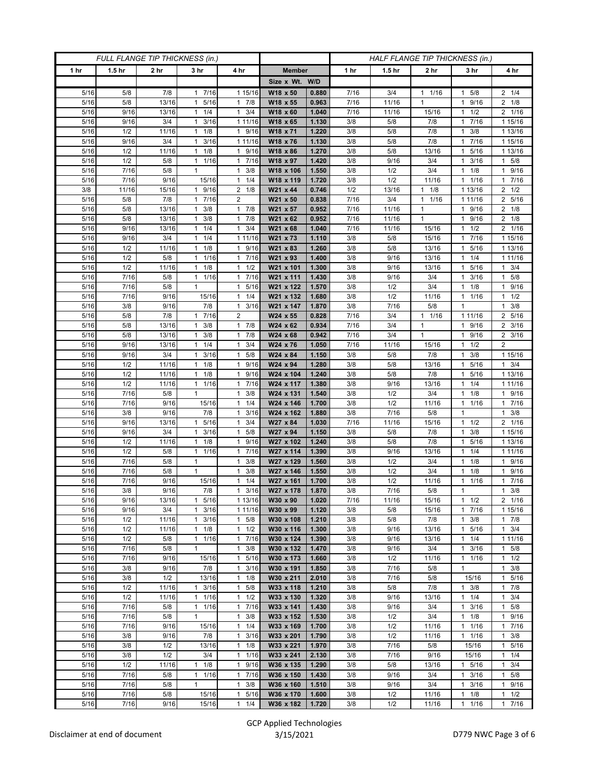| FULL FLANGE TIP THICKNESS (in.) |                   |                 |                                              |                                  |                             | HALF FLANGE TIP THICKNESS (in.) |             |                   |                      |                                   |                           |
|---------------------------------|-------------------|-----------------|----------------------------------------------|----------------------------------|-----------------------------|---------------------------------|-------------|-------------------|----------------------|-----------------------------------|---------------------------|
| 1 hr                            | 1.5 <sub>hr</sub> | 2 <sub>hr</sub> | 3 <sub>hr</sub>                              | 4 hr                             | <b>Member</b>               |                                 | 1 hr        | 1.5 <sub>hr</sub> | 2 <sub>hr</sub>      | 3 <sub>hr</sub>                   | 4 hr                      |
|                                 |                   |                 |                                              |                                  | Size x Wt. W/D              |                                 |             |                   |                      |                                   |                           |
| 5/16                            | 5/8               | 7/8             | 17/16                                        | 1 15/16                          | W18 x 50                    | 0.880                           | 7/16        | 3/4               | 1/16<br>$\mathbf{1}$ | 5/8<br>1                          | $2 \t1/4$                 |
| 5/16                            | 5/8               | 13/16           | 5/16<br>$\mathbf{1}$                         | 17/8                             | W18 x 55                    | 0.963                           | 7/16        | 11/16             | $\mathbf{1}$         | 9/16<br>1                         | $2 \t1/8$                 |
| 5/16                            | 9/16              | 13/16           | $1 \t1/4$                                    | $1 \t3/4$                        | W18 x 60                    | 1.040                           | 7/16        | 11/16             | 15/16                | 1/2<br>$\mathbf{1}$               | 2 1/16                    |
| 5/16                            | 9/16              | 3/4             | 3/16<br>1                                    | 1 11/16                          | W18 x 65                    | 1.130                           | 3/8         | 5/8               | 7/8                  | 7/16<br>1                         | 1 15/16                   |
| 5/16                            | 1/2               | 11/16           | $1 \t1/8$                                    | 1 9/16                           | W18 x 71                    | 1.220                           | 3/8         | 5/8               | 7/8                  | 3/8<br>1                          | 1 13/16                   |
| 5/16                            | 9/16              | 3/4             | 3/16<br>$\mathbf{1}$                         | 1 11/16                          | W18 x 76                    | 1.130                           | 3/8         | 5/8               | 7/8                  | 7/16<br>1                         | 1 15/16                   |
| 5/16<br>5/16                    | 1/2               | 11/16           | $1 \t1/8$                                    | 1 9/16                           | W18 x 86<br>W18 x 97        | 1.270                           | 3/8<br>3/8  | 5/8               | 13/16<br>3/4         | 5/16<br>1<br>3/16<br>1            | 1 13/16<br>$1 \t5/8$      |
| 5/16                            | 1/2<br>7/16       | 5/8<br>5/8      | 1 1/16<br>$\mathbf{1}$                       | 1 7/16<br>$\mathbf{1}$<br>3/8    | W18 x 106                   | 1.420<br>1.550                  | 3/8         | 9/16<br>1/2       | 3/4                  | 1/8                               | 1 9/16                    |
| 5/16                            | 7/16              | 9/16            | 15/16                                        | 1/4<br>$\mathbf{1}$              | W18 x 119                   | 1.720                           | 3/8         | 1/2               | 11/16                | 1/16<br>1                         | 17/16                     |
| 3/8                             | 11/16             | 15/16           | 1 9/16                                       | $2 \t1/8$                        | W21 x 44                    | 0.746                           | 1/2         | 13/16             | $\mathbf{1}$<br>1/8  | 1 13/16                           | $2 \frac{1}{2}$           |
| 5/16                            | 5/8               | 7/8             | 7/16<br>$\mathbf{1}$                         | $\overline{2}$                   | W21 x 50                    | 0.838                           | 7/16        | 3/4               | 1/16<br>$\mathbf{1}$ | 1 11/16                           | 2 5/16                    |
| 5/16                            | 5/8               | 13/16           | 3/8<br>$\mathbf{1}$                          | $1 \t7/8$                        | W21 x 57                    | 0.952                           | 7/16        | 11/16             | $\mathbf{1}$         | 9/16<br>1                         | $2 \t1/8$                 |
| 5/16                            | 5/8               | 13/16           | $1 \t3/8$                                    | 17/8                             | W21 x 62                    | 0.952                           | 7/16        | 11/16             | $\mathbf{1}$         | 9/16<br>1                         | $2 \t1/8$                 |
| 5/16                            | 9/16              | 13/16           | 1/4<br>$\mathbf{1}$                          | 3/4<br>$\mathbf{1}$              | W21 x 68                    | 1.040                           | 7/16        | 11/16             | 15/16                | 1/2                               | 2 1/16                    |
| 5/16                            | 9/16              | 3/4             | $1 \t1/4$                                    | 1 11/16                          | W21 x 73                    | 1.110                           | 3/8         | 5/8               | 15/16                | 7/16<br>1                         | 1 15/16                   |
| 5/16                            | 1/2               | 11/16           | $1 \t1/8$                                    | 1 9/16                           | W21 x 83                    | 1.260                           | 3/8         | 5/8               | 13/16                | 5/16<br>1                         | 1 13/16                   |
| 5/16                            | 1/2               | 5/8             | 1 1/16                                       | 1 7/16                           | W21 x 93                    | 1.400                           | 3/8         | 9/16              | 13/16                | 1/4<br>1                          | 1 11/16                   |
| 5/16                            | 1/2               | 11/16           | $1 \t1/8$                                    | 1/2<br>$\mathbf{1}$              | W21 x 101                   | 1.300                           | 3/8         | 9/16              | 13/16                | 5/16<br>1                         | $1 \t3/4$                 |
| 5/16                            | 7/16              | 5/8             | 1 1/16                                       | 7/16<br>$\mathbf{1}$             | W21 x 111                   | 1.430                           | 3/8         | 9/16              | 3/4                  | 3/16<br>1                         | 1 5/8                     |
| 5/16                            | 7/16              | 5/8             | $\mathbf{1}$                                 | 5/16<br>$\mathbf{1}$             | W21 x 122                   | 1.570                           | 3/8         | 1/2               | 3/4                  | 1/8<br>1                          | 1 9/16                    |
| 5/16                            | 7/16              | 9/16            | 15/16                                        | $1 \t1/4$                        | W21 x 132                   | 1.680                           | 3/8         | 1/2               | 11/16                | 1 1/16                            | $1 \t1/2$                 |
| 5/16                            | 3/8               | 9/16            | 7/8                                          | 3/16<br>$\mathbf{1}$             | W21 x 147                   | 1.870                           | 3/8         | 7/16              | 5/8                  | 1                                 | 3/8<br>1                  |
| 5/16                            | 5/8               | 7/8             | 17/16                                        | $\overline{2}$                   | W24 x 55                    | 0.828                           | 7/16        | 3/4               | $1 \t1/16$           | 1 11/16                           | 2 5/16                    |
| 5/16                            | 5/8               | 13/16           | $1 \t3/8$                                    | $1 \t7/8$                        | W24 x 62                    | 0.934                           | 7/16        | 3/4               | 1                    | 1 9/16                            | $2 \frac{3}{16}$          |
| 5/16                            | 5/8               | 13/16           | 3/8<br>1                                     | 17/8                             | W24 x 68                    | 0.942                           | 7/16        | 3/4               | $\mathbf{1}$         | 9/16<br>1                         | 2 3/16                    |
| 5/16<br>5/16                    | 9/16              | 13/16<br>3/4    | $1 \t1/4$<br>$1 \t3/16$                      | 3/4<br>$\mathbf{1}$<br>$1 \t5/8$ | W24 x 76<br>$W24 \times 84$ | 1.050<br>1.150                  | 7/16<br>3/8 | 11/16             | 15/16<br>7/8         | 1/2<br>1<br>3/8<br>$\mathbf{1}$   | $\overline{2}$<br>1 15/16 |
| 5/16                            | 9/16<br>1/2       | 11/16           | 1/8<br>$\mathbf{1}$                          | 9/16<br>$\mathbf{1}$             | W24 x 94                    | 1.280                           | 3/8         | 5/8<br>5/8        | 13/16                | 5/16<br>1                         | $1 \t3/4$                 |
| 5/16                            | 1/2               | 11/16           | $1 \t1/8$                                    | $\mathbf{1}$<br>9/16             | W24 x 104                   | 1.240                           | 3/8         | 5/8               | 7/8                  | 5/16<br>1                         | 1 13/16                   |
| 5/16                            | 1/2               | 11/16           | 1 1/16                                       | 17/16                            | W24 x 117                   | 1.380                           | 3/8         | 9/16              | 13/16                | 1/4<br>1                          | 1 11/16                   |
| 5/16                            | 7/16              | 5/8             | $\mathbf{1}$                                 | 3/8<br>$\mathbf{1}$              | W24 x 131                   | 1.540                           | 3/8         | 1/2               | 3/4                  | 1/8<br>1                          | 1 9/16                    |
| 5/16                            | 7/16              | 9/16            | 15/16                                        | 1/4<br>$\mathbf{1}$              | W24 x 146                   | 1.700                           | 3/8         | 1/2               | 11/16                | 1/16<br>1                         | 17/16                     |
| 5/16                            | 3/8               | 9/16            | 7/8                                          | 3/16<br>$\mathbf{1}$             | W24 x 162                   | 1.880                           | 3/8         | 7/16              | 5/8                  | 1                                 | $1 \t3/8$                 |
| 5/16                            | 9/16              | 13/16           | 5/16<br>$\mathbf{1}$                         | 3/4<br>$\mathbf{1}$              | W27 x 84                    | 1.030                           | 7/16        | 11/16             | 15/16                | 1/2<br>$\mathbf{1}$               | 2 1/16                    |
| 5/16                            | 9/16              | 3/4             | $1 \t3/16$                                   | $1 \t5/8$                        | W27 x 94                    | 1.150                           | 3/8         | 5/8               | 7/8                  | 3/8<br>1                          | 1 15/16                   |
| 5/16                            | 1/2               | 11/16           | 1/8<br>1                                     | $\mathbf{1}$<br>9/16             | W27 x 102                   | 1.240                           | 3/8         | 5/8               | 7/8                  | 5/16                              | 1 13/16                   |
| 5/16                            | 1/2               | 5/8             | 1/16<br>1                                    | 7/16<br>1                        | W27 x 114                   | 1.390                           | 3/8         | 9/16              | 13/16                | 1/4<br>1                          | 1 11/16                   |
| 5/16                            | 7/16              | 5/8             | $\mathbf{1}$                                 | 3/8<br>$\mathbf{1}$              | W27 x 129                   | 1.560                           | 3/8         | 1/2               | 3/4                  | 1/8<br>1                          | 1 9/16                    |
| 5/16                            | 7/16              | 5/8             | $\mathbf{1}$                                 | 3/8<br>$\mathbf{1}$              | W27 x 146                   | 1.550                           | 3/8         | 1/2               | 3/4                  | 1/8                               | 1 9/16                    |
| $5/16$                          | 7/16              | 9/16            | 15/16                                        | $1 \t1/4$                        | W27 x 161                   | 1.700                           | 3/8         | 1/2               | 11/16                | 1/16<br>$\mathbf{1}$              | 17/16                     |
| 5/16                            | 3/8               | 9/16            | 7/8                                          | $1 \t3/16$                       | W27 x 178                   | 1.870                           | 3/8         | 7/16              | 5/8                  | $\mathbf{1}$                      | $1 \t3/8$                 |
| 5/16<br>5/16                    | 9/16              | 13/16<br>3/4    | 5/16<br>$\mathbf{1}$                         | 1 13/16                          | W30 x 90<br>W30 x 99        | 1.020<br>1.120                  | 7/16        | 11/16             | 15/16                | $1 \t1/2$<br>17/16                | 2 1/16                    |
| 5/16                            | 9/16<br>1/2       | 11/16           | 3/16<br>$\mathbf{1}$<br>3/16<br>$\mathbf{1}$ | 1 11/16<br>$1 \t5/8$             | W30 x 108                   | 1.210                           | 3/8<br>3/8  | 5/8<br>5/8        | 15/16<br>7/8         | 3/8<br>1                          | 1 15/16<br>17/8           |
| 5/16                            | 1/2               | 11/16           | $1 \t1/8$                                    | $1 \t1/2$                        | W30 x 116                   | 1.300                           | 3/8         | 9/16              | 13/16                | 5/16<br>$\mathbf{1}$              | $1 \t3/4$                 |
| 5/16                            | 1/2               | 5/8             | $1 \t1/16$                                   | 17/16                            | W30 x 124                   | 1.390                           | 3/8         | 9/16              | 13/16                | $1 \t1/4$                         | 1 11/16                   |
| 5/16                            | 7/16              | 5/8             | $\mathbf{1}$                                 | 3/8<br>$\mathbf{1}$              | W30 x 132                   | 1.470                           | 3/8         | 9/16              | 3/4                  | 3/16<br>1                         | $1 \t5/8$                 |
| 5/16                            | 7/16              | 9/16            | 15/16                                        | 1 5/16                           | W30 x 173                   | 1.660                           | 3/8         | 1/2               | 11/16                | 1/16<br>$\mathbf{1}$              | $1 \t1/2$                 |
| 5/16                            | 3/8               | 9/16            | 7/8                                          | $1 \t3/16$                       | W30 x 191                   | 1.850                           | 3/8         | 7/16              | 5/8                  | $\mathbf{1}$                      | $1 \t3/8$                 |
| 5/16                            | 3/8               | 1/2             | 13/16                                        | $1 \t1/8$                        | W30 x 211                   | 2.010                           | 3/8         | 7/16              | 5/8                  | 15/16                             | 5/16<br>1                 |
| 5/16                            | 1/2               | 11/16           | $1 \t3/16$                                   | $1 \t5/8$                        | W33 x 118                   | 1.210                           | 3/8         | 5/8               | 7/8                  | $1 \t3/8$                         | 17/8                      |
| 5/16                            | 1/2               | 11/16           | $1 \t1/16$                                   | $1 \t1/2$                        | W33 x 130                   | 1.320                           | 3/8         | 9/16              | 13/16                | $1 \t1/4$                         | $1 \t3/4$                 |
| 5/16                            | 7/16              | 5/8             | $1 \t1/16$                                   | 1 7/16                           | W33 x 141                   | 1.430                           | 3/8         | 9/16              | 3/4                  | 3/16<br>1                         | 1 5/8                     |
| 5/16                            | 7/16              | 5/8             | $\mathbf{1}$                                 | $\mathbf{1}$<br>3/8              | W33 x 152                   | 1.530                           | 3/8         | 1/2               | 3/4                  | 1/8<br>$\mathbf{1}$               | 1 9/16                    |
| 5/16                            | 7/16              | 9/16            | 15/16                                        | $1 \t1/4$                        | W33 x 169                   | 1.700                           | 3/8         | 1/2               | 11/16                | 11/16                             | 17/16                     |
| 5/16                            | 3/8               | 9/16            | 7/8                                          | 3/16<br>$\mathbf{1}$             | W33 x 201                   | 1.790                           | 3/8         | 1/2               | 11/16                | $1 \t1/16$                        | $1 \t3/8$                 |
| 5/16                            | 3/8               | 1/2             | 13/16                                        | $1 \t1/8$                        | W33 x 221                   | 1.970                           | 3/8         | 7/16              | 5/8                  | 15/16                             | 1 5/16                    |
| 5/16                            | 3/8               | 1/2             | 3/4                                          | 11/16                            | W33 x 241                   | 2.130                           | 3/8         | 7/16              | 9/16                 | 15/16                             | 11/4                      |
| 5/16                            | 1/2               | 11/16           | 1/8<br>$\mathbf{1}$                          | 9/16<br>$\mathbf{1}$             | W36 x 135                   | 1.290                           | 3/8         | 5/8               | 13/16                | 1 5/16                            | $1 \t3/4$                 |
| 5/16                            | 7/16<br>7/16      | 5/8             | 1 1/16<br>$\mathbf{1}$                       | 17/16<br>$\mathbf{1}$<br>3/8     | W36 x 150<br>W36 x 160      | 1.430                           | 3/8<br>3/8  | 9/16              | 3/4<br>3/4           | 3/16<br>$\mathbf{1}$<br>3/16<br>1 | $1 \t5/8$<br>1 9/16       |
| 5/16<br>5/16                    | 7/16              | 5/8<br>5/8      | 15/16                                        | 5/16<br>$\mathbf{1}$             | W36 x 170                   | 1.510<br>1.600                  | 3/8         | 9/16<br>1/2       | 11/16                | 1/8<br>1                          | $1 \t1/2$                 |
| 5/16                            | 7/16              | 9/16            | 15/16                                        | $1 \t1/4$                        | W36 x 182                   | 1.720                           | 3/8         | 1/2               | 11/16                | $1 \t1/16$                        | 17/16                     |
|                                 |                   |                 |                                              |                                  |                             |                                 |             |                   |                      |                                   |                           |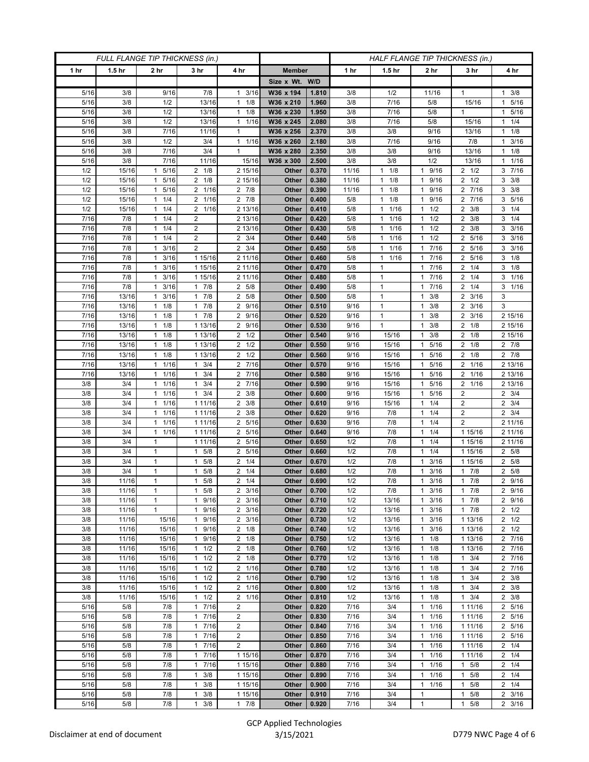| FULL FLANGE TIP THICKNESS (in.) |                   |                                 |                                  |                                    |                        | HALF FLANGE TIP THICKNESS (in.) |              |                      |                                              |                                   |                        |
|---------------------------------|-------------------|---------------------------------|----------------------------------|------------------------------------|------------------------|---------------------------------|--------------|----------------------|----------------------------------------------|-----------------------------------|------------------------|
| 1 hr                            | 1.5 <sub>hr</sub> | 2 <sub>hr</sub>                 | 3 <sub>hr</sub>                  | 4 hr                               | <b>Member</b>          |                                 | 1 hr         | 1.5 <sub>hr</sub>    | 2 <sub>hr</sub>                              | 3 <sub>hr</sub>                   | 4 hr                   |
|                                 |                   |                                 |                                  |                                    | Size x Wt. W/D         |                                 |              |                      |                                              |                                   |                        |
| 5/16                            | 3/8               | 9/16                            | 7/8                              | 3/16<br>$\mathbf{1}$               | W36 x 194              | 1.810                           | 3/8          | 1/2                  | 11/16                                        | 1                                 | $1 \t3/8$              |
| 5/16                            | 3/8               | 1/2                             | 13/16                            | 1/8<br>$\mathbf{1}$                | W36 x 210              | 1.960                           | 3/8          | 7/16                 | 5/8                                          | 15/16                             | 5/16<br>$\mathbf{1}$   |
| 5/16                            | 3/8               | 1/2                             | 13/16                            | $1 \t1/8$                          | W36 x 230              | 1.950                           | 3/8          | 7/16                 | 5/8                                          | $\mathbf{1}$                      | 1 5/16                 |
| 5/16                            | 3/8               | 1/2                             | 13/16                            | 1/16<br>$\mathbf{1}$               | W36 x 245              | 2.080                           | 3/8          | 7/16                 | 5/8                                          | 15/16                             | $1 \t1/4$              |
| 5/16                            | 3/8               | 7/16                            | 11/16                            | $\mathbf{1}$                       | W36 x 256              | 2.370                           | 3/8          | 3/8                  | 9/16                                         | 13/16                             | $1 \t1/8$              |
| 5/16                            | 3/8               | 1/2                             | 3/4                              | 11/16                              | W36 x 260              | 2.180                           | 3/8          | 7/16                 | 9/16                                         | 7/8                               | 3/16<br>$\mathbf{1}$   |
| 5/16                            | 3/8<br>3/8        | 7/16<br>7/16                    | 3/4<br>11/16                     | $\mathbf{1}$<br>15/16              | W36 x 280<br>W36 x 300 | 2.350                           | 3/8<br>3/8   | 3/8<br>3/8           | 9/16<br>1/2                                  | 13/16<br>13/16                    | $1 \t1/8$<br>11/16     |
| 5/16<br>1/2                     | 15/16             | 5/16                            | $2 \t1/8$                        | 2 15/16                            | Other                  | 2.500<br>0.370                  | 11/16        | $1 \t1/8$            | 9/16<br>$\mathbf{1}$                         | $2 \frac{1}{2}$                   | $3 \t 7/16$            |
| 1/2                             | 15/16             | 5/16<br>$\mathbf{1}$            | $2 \t1/8$                        | 2 15/16                            | Other                  | 0.380                           | 11/16        | 1/8<br>$\mathbf{1}$  | 9/16<br>$\mathbf{1}$                         | $2 \frac{1}{2}$                   | $3 \frac{3}{8}$        |
| 1/2                             | 15/16             | 5/16<br>$\mathbf{1}$            | 2 1/16                           | 2 7/8                              | Other                  | 0.390                           | 11/16        | $1 \t1/8$            | 9/16<br>1                                    | 2 7/16                            | $3 \frac{3}{8}$        |
| 1/2                             | 15/16             | 1/4<br>1                        | 2 1/16                           | 2 7/8                              | Other                  | 0.400                           | $5/8$        | 1/8<br>1             | 9/16<br>1                                    | 2 7/16                            | 3 5/16                 |
| 1/2                             | 15/16             | 1/4<br>1                        | 2 1/16                           | 2 13/16                            | Other                  | 0.410                           | $5/8$        | 1/16<br>1            | 1/2<br>$\mathbf{1}$                          | 3/8<br>2                          | $3 \t1/4$              |
| 7/16                            | 7/8               | 1/4<br>$\mathbf{1}$             | $\overline{2}$                   | 2 13/16                            | Other                  | 0.420                           | 5/8          | 11/16                | 1/2<br>1                                     | $2 \frac{3}{8}$                   | $3 \t1/4$              |
| 7/16                            | 7/8               | 1/4<br>1                        | $\overline{2}$                   | 2 13/16                            | Other                  | 0.430                           | 5/8          | 1/16<br>$\mathbf{1}$ | 1/2<br>$\mathbf{1}$                          | $\overline{2}$<br>3/8             | $3 \frac{3}{16}$       |
| 7/16                            | 7/8               | 1/4<br>$\mathbf{1}$             | $\overline{2}$                   | $2 \frac{3}{4}$                    | Other                  | 0.440                           | 5/8          | 1/16<br>$\mathbf{1}$ | 1/2<br>$\mathbf{1}$                          | 5/16<br>$\overline{2}$            | $3 \frac{3}{16}$       |
| 7/16                            | 7/8               | 3/16<br>$\mathbf{1}$            | $\overline{2}$                   | $2 \frac{3}{4}$                    | Other                  | 0.450                           | 5/8          | 11/16                | $7/16$<br>$\mathbf{1}$                       | 5/16<br>2                         | $3 \frac{3}{16}$       |
| 7/16                            | 7/8               | 3/16<br>$\mathbf{1}$            | 1 15/16                          | 2 11/16                            | Other                  | 0.460                           | 5/8          | $1 \t1/16$           | 7/16<br>1                                    | 2 5/16                            | $3 \t1/8$              |
| 7/16                            | 7/8               | 3/16<br>1                       | 1 15/16                          | 2 11/16                            | Other                  | 0.470                           | 5/8          | 1                    | 7/16<br>1                                    | $2 \t1/4$                         | $3 \t1/8$              |
| 7/16                            | 7/8               | 3/16<br>1                       | 1 15/16                          | 2 11/16                            | Other                  | 0.480                           | 5/8          | $\mathbf{1}$         | $7/16$<br>1                                  | 1/4<br>2                          | 3 1/16                 |
| 7/16                            | 7/8               | 3/16<br>1                       | $1 \t7/8$                        | 2 5/8                              | Other                  | 0.490                           | $5/8$        | $\mathbf{1}$         | 7/16<br>$\mathbf{1}$                         | $2 \t1/4$                         | $3 \t1/16$             |
| 7/16                            | 13/16             | 3/16<br>$\mathbf{1}$            | $1 \t7/8$                        | 2 5/8                              | Other                  | 0.500                           | 5/8          | 1                    | 3/8<br>1                                     | $2 \frac{3}{16}$                  | 3                      |
| 7/16                            | 13/16             | 1/8<br>1                        | 7/8<br>$\mathbf{1}$              | 2 9/16                             | Other                  | 0.510                           | 9/16         | 1                    | 3/8<br>1                                     | 3/16<br>2                         | 3                      |
| 7/16                            | 13/16             | 1/8<br>1                        | 17/8                             | 2 9/16                             | Other                  | 0.520                           | 9/16         | $\mathbf{1}$         | 3/8<br>$\mathbf{1}$                          | $2 \frac{3}{16}$                  | 2 15/16                |
| 7/16                            | 13/16             | $1 \t1/8$                       | 1 13/16                          | 2 9/16                             | Other                  | 0.530                           | 9/16         | 1                    | 3/8<br>1                                     | $2 \t1/8$                         | 2 15/16                |
| 7/16<br>7/16                    | 13/16<br>13/16    | 1/8<br>1<br>1/8<br>$\mathbf{1}$ | 1 13/16<br>1 13/16               | $2 \frac{1}{2}$<br>$2 \frac{1}{2}$ | Other<br>Other         | 0.540<br>0.550                  | 9/16<br>9/16 | 15/16<br>15/16       | 3/8<br>1<br>5/16<br>$\mathbf{1}$             | 2<br>1/8<br>$2 \t1/8$             | 2 15/16<br>$2 \t 7/8$  |
| 7/16                            | 13/16             | 1/8<br>$\mathbf{1}$             | 1 13/16                          | $2 \frac{1}{2}$                    | Other                  | 0.560                           | 9/16         | 15/16                | 5/16<br>$\mathbf{1}$                         | $2 \t1/8$                         | $2 \t 7/8$             |
| 7/16                            | 13/16             | 1/16<br>1                       | $1 \t3/4$                        | 2 7/16                             | Other                  | 0.570                           | 9/16         | 15/16                | 5/16<br>$\mathbf{1}$                         | 1/16<br>2                         | 2 13/16                |
| 7/16                            | 13/16             | 1/16<br>1                       | $1 \t3/4$                        | 2 7/16                             | Other                  | 0.580                           | 9/16         | 15/16                | 5/16<br>$\mathbf{1}$                         | 2 1/16                            | 2 13/16                |
| 3/8                             | 3/4               | 1/16<br>$\mathbf{1}$            | $\mathbf{1}$<br>3/4              | 2 7/16                             | Other                  | 0.590                           | 9/16         | 15/16                | 5/16<br>$\mathbf{1}$                         | 2 1/16                            | 2 13/16                |
| 3/8                             | 3/4               | 1/16<br>$\mathbf{1}$            | $1 \t3/4$                        | $2 \frac{3}{8}$                    | Other                  | 0.600                           | 9/16         | 15/16                | 5/16<br>1                                    | 2                                 | $2 \frac{3}{4}$        |
| 3/8                             | 3/4               | 1/16<br>$\mathbf{1}$            | 1 11/16                          | $2 \frac{3}{8}$                    | Other                  | 0.610                           | 9/16         | 15/16                | 1/4<br>$\mathbf{1}$                          | $\overline{2}$                    | $2 \t3/4$              |
| 3/8                             | 3/4               | 1<br>1/16                       | 1 11/16                          | $2 \frac{3}{8}$                    | Other                  | 0.620                           | 9/16         | 7/8                  | 1/4<br>$\mathbf{1}$                          | 2                                 | $2 \frac{3}{4}$        |
| 3/8                             | 3/4               | 1/16<br>1                       | 1 11/16                          | 2 5/16                             | Other                  | 0.630                           | 9/16         | 7/8                  | 1/4<br>$\mathbf{1}$                          | $\overline{2}$                    | 2 11/16                |
| 3/8                             | 3/4               | 1/16<br>$\mathbf{1}$            | 1 11/16                          | 2 5/16                             | Other                  | 0.640                           | 9/16         | 7/8                  | 1/4<br>$\mathbf{1}$                          | 1 15/16                           | 2 11/16                |
| 3/8                             | 3/4               | 1                               | 1 11/16                          | 2 5/16                             | Other                  | 0.650                           | 1/2          | 7/8                  | 1/4<br>$\mathbf{1}$                          | 1 15/16                           | 2 11/16                |
| 3/8                             | 3/4               | 1                               | 5/8<br>$\mathbf{1}$              | 2 5/16                             | Other                  | 0.660                           | 1/2          | 7/8                  | 1/4<br>$\mathbf{1}$                          | 1 15/16                           | 2 5/8                  |
| 3/8                             | 3/4               | $\mathbf{1}$                    | $1 \t5/8$                        | $2 \t1/4$                          | Other                  | 0.670                           | 1/2          | 7/8                  | 3/16<br>1                                    | 1 15/16                           | 2 5/8                  |
| 3/8                             | 3/4               | 1                               | 5/8<br>1                         | $2 \t1/4$<br>$2 \t1/4$             | Other                  | 0.680                           | 1/2          | 7/8                  | 3/16<br>1                                    | $1 \t7/8$                         | 2 5/8                  |
| 3/8<br>3/8                      | 11/16<br>11/16    | 1<br>$\mathbf{1}$               | 5/8<br>$\mathbf{1}$<br>$1 \t5/8$ | $2 \frac{3}{16}$                   | Other<br>Other         | 0.690<br>0.700                  | 1/2<br>1/2   | 7/8<br>7/8           | 3/16<br>$\mathbf{1}$<br>3/16<br>$\mathbf{1}$ | $1 \t7/8$<br>$1 \t7/8$            | 2 9/16<br>2 9/16       |
| 3/8                             | 11/16             | $\mathbf{1}$                    | 1 9/16                           | $2 \frac{3}{16}$                   | Other                  | 0.710                           | 1/2          | 13/16                | $\mathbf{1}$<br>3/16                         | $1 \t7/8$                         | 2 9/16                 |
| 3/8                             | 11/16             | $\mathbf{1}$                    | 1 9/16                           | $2 \frac{3}{16}$                   | Other                  | 0.720                           | 1/2          | 13/16                | 3/16<br>1                                    | 17/8                              | $2 \frac{1}{2}$        |
| 3/8                             | 11/16             | 15/16                           | 9/16<br>$\mathbf{1}$             | $2 \frac{3}{16}$                   | Other                  | 0.730                           | 1/2          | 13/16                | 3/16<br>$\mathbf{1}$                         | 1 13/16                           | $2 \frac{1}{2}$        |
| 3/8                             | 11/16             | 15/16                           | 9/16<br>$\mathbf{1}$             | $2 \t1/8$                          | Other                  | 0.740                           | 1/2          | 13/16                | 3/16<br>$\mathbf{1}$                         | 1 13/16                           | $2 \frac{1}{2}$        |
| 3/8                             | 11/16             | 15/16                           | 1 9/16                           | $2 \t1/8$                          | Other                  | 0.750                           | 1/2          | 13/16                | 1/8<br>1                                     | 1 13/16                           | 2 7/16                 |
| 3/8                             | 11/16             | 15/16                           | 1/2<br>$\mathbf{1}$              | $2 \t1/8$                          | Other                  | 0.760                           | 1/2          | 13/16                | 1/8<br>$\mathbf{1}$                          | 1 13/16                           | 2 7/16                 |
| 3/8                             | 11/16             | 15/16                           | $1 \t1/2$                        | $2 \t1/8$                          | Other                  | 0.770                           | 1/2          | 13/16                | $\mathbf{1}$<br>1/8                          | $1 \t3/4$                         | 2 7/16                 |
| 3/8                             | 11/16             | 15/16                           | $1 \t1/2$                        | 2 1/16                             | Other                  | 0.780                           | 1/2          | 13/16                | 1/8<br>1                                     | $1 \t3/4$                         | 2 7/16                 |
| 3/8                             | 11/16             | 15/16                           | 1/2<br>$\mathbf{1}$              | 2 1/16                             | Other                  | 0.790                           | 1/2          | 13/16                | 1/8<br>$\mathbf{1}$                          | 3/4<br>1                          | $2 \frac{3}{8}$        |
| 3/8                             | 11/16             | 15/16                           | $1 \t1/2$                        | 2 1/16                             | Other                  | 0.800                           | 1/2          | 13/16                | $\mathbf{1}$<br>1/8                          | 3/4<br>$\mathbf{1}$               | $2 \frac{3}{8}$        |
| 3/8                             | 11/16             | 15/16                           | $1 \t1/2$                        | 2 1/16                             | Other                  | 0.810                           | 1/2          | 13/16                | 1/8<br>$\mathbf{1}$                          | $1 \t3/4$                         | $2 \frac{3}{8}$        |
| 5/16                            | 5/8               | 7/8                             | 1 7/16                           | $\overline{2}$                     | Other                  | 0.820                           | 7/16         | 3/4                  | 1/16<br>$\mathbf{1}$                         | 1 11/16                           | 2 5/16                 |
| 5/16                            | 5/8               | 7/8                             | 17/16                            | $\overline{2}$                     | Other                  | 0.830                           | 7/16         | 3/4                  | $\mathbf{1}$<br>1/16                         | 1 11/16                           | 2 5/16                 |
| 5/16                            | 5/8               | 7/8                             | 17/16                            | $\overline{2}$                     | Other                  | 0.840                           | 7/16         | 3/4                  | 1/16<br>$\mathbf{1}$                         | 1 11/16                           | 2 5/16                 |
| 5/16                            | 5/8               | 7/8                             | 17/16                            | $\overline{2}$                     | Other                  | 0.850                           | 7/16         | 3/4                  | 1/16<br>1                                    | 1 11/16                           | 2 5/16                 |
| 5/16                            | 5/8               | 7/8                             | 1 7/16                           | $\overline{2}$                     | Other                  | 0.860                           | 7/16         | 3/4                  | 1/16<br>$\mathbf{1}$                         | 1 1 1 / 1 6                       | $2 \t1/4$              |
| 5/16<br>5/16                    | 5/8               | 7/8<br>7/8                      | 17/16<br>1 7/16                  | 1 15/16<br>1 15/16                 | Other                  | 0.870<br>0.880                  | 7/16<br>7/16 | 3/4<br>3/4           | 1/16<br>$\mathbf{1}$<br>1/16<br>$\mathbf{1}$ | 1 1 1 / 16<br>5/8<br>$\mathbf{1}$ | $2 \t1/4$<br>$2 \t1/4$ |
| 5/16                            | 5/8<br>5/8        | 7/8                             | $1 \t3/8$                        | 1 15/16                            | Other<br>Other         | 0.890                           | 7/16         | 3/4                  | 1/16<br>$\mathbf{1}$                         | 5/8<br>$\mathbf{1}$               | $2 \t1/4$              |
| 5/16                            | 5/8               | 7/8                             | 3/8<br>$\mathbf{1}$              | 1 15/16                            | Other                  | 0.900                           | 7/16         | 3/4                  | $\mathbf{1}$<br>1/16                         | 5/8                               | $2 \t1/4$              |
| 5/16                            | 5/8               | 7/8                             | 3/8<br>$\mathbf{1}$              | 1 15/16                            | Other                  | 0.910                           | 7/16         | 3/4                  | 1                                            | 5/8<br>1                          | $2 \frac{3}{16}$       |
| 5/16                            | 5/8               | 7/8                             | $1 \t3/8$                        | $1 \t7/8$                          | Other                  | 0.920                           | 7/16         | 3/4                  | $\mathbf{1}$                                 | 5/8<br>$\mathbf{1}$               | $2 \frac{3}{16}$       |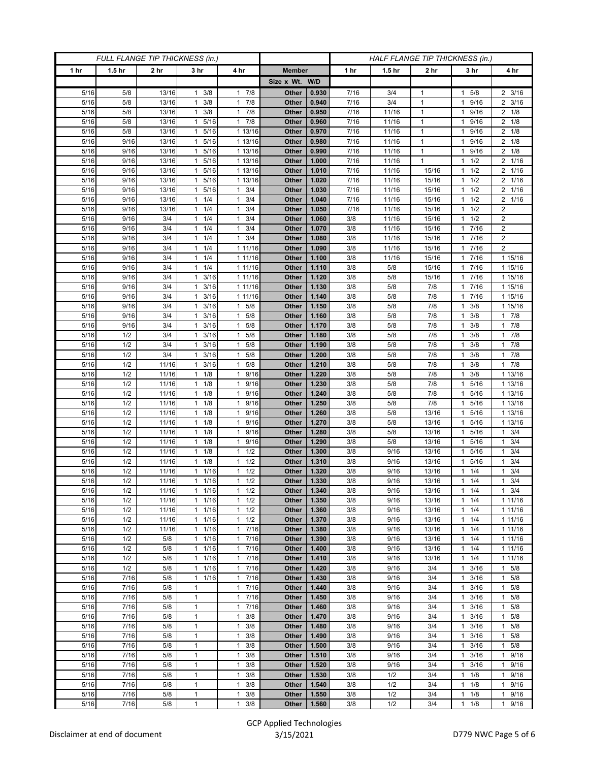| 1 hr<br>1.5 <sub>hr</sub><br>2 <sub>hr</sub><br>3 <sub>hr</sub><br>4 hr<br>1 hr<br>2 <sub>hr</sub><br>3 <sub>hr</sub><br><b>Member</b><br>1.5 <sub>hr</sub><br>4 hr<br>Size x Wt. W/D<br>17/8<br>5/16<br>13/16<br>$1 \t3/8$<br>0.930<br>7/16<br>3/4<br>5/8<br>$2 \frac{3}{16}$<br>5/8<br>Other<br>$\mathbf{1}$<br>1<br>5/16<br>17/8<br>$2 \frac{3}{16}$<br>13/16<br>3/8<br>Other<br>0.940<br>7/16<br>3/4<br>$\mathbf{1}$<br>9/16<br>5/8<br>$\mathbf{1}$<br>1<br>5/16<br>13/16<br>3/8<br>17/8<br>0.950<br>7/16<br>$\mathbf{1}$<br>9/16<br>$2 \t1/8$<br>5/8<br>$\mathbf{1}$<br>Other<br>11/16<br>1<br>17/8<br>5/16<br>5/16<br>7/16<br>$2 \t1/8$<br>5/8<br>13/16<br>Other<br>0.960<br>11/16<br>$\mathbf{1}$<br>9/16<br>1<br>1<br>$2 \t1/8$<br>5/16<br>5/8<br>5/16<br>1 13/16<br>0.970<br>7/16<br>$\mathbf{1}$<br>9/16<br>13/16<br>$\mathbf{1}$<br>Other<br>11/16<br>1<br>5/16<br>9/16<br>13/16<br>5/16<br>1 13/16<br>0.980<br>7/16<br>11/16<br>$\mathbf{1}$<br>9/16<br>$2 \t1/8$<br>$\mathbf{1}$<br>Other<br>1<br>5/16<br>5/16<br>1 13/16<br>7/16<br>11/16<br>9/16<br>$2 \t1/8$<br>9/16<br>13/16<br>Other<br>0.990<br>$\mathbf{1}$<br>$\mathbf{1}$<br>1<br>2 1/16<br>5/16<br>5/16<br>1 13/16<br>$\mathbf{1}$<br>1/2<br>9/16<br>13/16<br>Other<br>1.000<br>7/16<br>11/16<br>1<br>1<br>5/16<br>13/16<br>5/16<br>1 13/16<br>1.010<br>7/16<br>11/16<br>15/16<br>1/2<br>2 1/16<br>9/16<br>$\mathbf{1}$<br>Other<br>2 1/16<br>5/16<br>9/16<br>13/16<br>5/16<br>1 13/16<br>1.020<br>7/16<br>11/16<br>15/16<br>1/2<br>Other<br>$\mathbf{1}$<br>1<br>5/16<br>9/16<br>$1 \t3/4$<br>1/2<br>2 1/16<br>13/16<br>1 5/16<br>Other<br>1.030<br>7/16<br>11/16<br>15/16<br>1<br>3/4<br>1/2<br>2 1/16<br>5/16<br>9/16<br>13/16<br>1<br>1/4<br>$\mathbf{1}$<br>Other<br>1.040<br>7/16<br>11/16<br>15/16<br>5/16<br>13/16<br>1/4<br>3/4<br>15/16<br>1/2<br>$\overline{2}$<br>9/16<br>Other<br>1.050<br>7/16<br>11/16<br>$\mathbf{1}$<br>1<br>1<br>1/2<br>$\overline{2}$<br>5/16<br>9/16<br>3/4<br>$1 \t1/4$<br>3/4<br>Other<br>11/16<br>15/16<br>1.060<br>3/8<br>$\mathbf{1}$<br>1<br>$\overline{\mathbf{c}}$<br>5/16<br>1/4<br>3/4<br>1.070<br>3/8<br>7/16<br>9/16<br>3/4<br>1<br>Other<br>11/16<br>15/16<br>$\mathbf{1}$<br>$1 \t3/4$<br>$7/16$<br>$\boldsymbol{2}$<br>5/16<br>3/4<br>$1 \t1/4$<br>1.080<br>3/8<br>11/16<br>15/16<br>9/16<br>Other<br>1<br>$\overline{2}$<br>5/16<br>9/16<br>3/4<br>$1 \t1/4$<br>1 11/16<br>Other<br>1.090<br>3/8<br>15/16<br>7/16<br>11/16<br>$\mathbf{1}$<br>1 15/16<br>5/16<br>9/16<br>3/4<br>$1 \t1/4$<br>1 11/16<br>Other<br>1.100<br>3/8<br>11/16<br>15/16<br>7/16<br>1<br>3/4<br>$1 \t1/4$<br>1 11/16<br>1.110<br>7/16<br>1 15/16<br>5/16<br>9/16<br>Other<br>3/8<br>5/8<br>15/16<br>1<br>5/16<br>9/16<br>3/4<br>3/16<br>1 11/16<br>Other<br>1.120<br>3/8<br>5/8<br>15/16<br>7/16<br>1 15/16<br>$\mathbf{1}$<br>1<br>5/16<br>9/16<br>3/16<br>1 11/16<br>3/8<br>7/16<br>1 15/16<br>3/4<br>$\mathbf{1}$<br>Other<br>1.130<br>5/8<br>7/8<br>1<br>1 15/16<br>5/16<br>9/16<br>3/4<br>$1 \t3/16$<br>1 11/16<br>Other<br>1.140<br>3/8<br>5/8<br>7/8<br>1 7/16<br>1.150<br>3/8<br>7/8<br>5/16<br>9/16<br>3/4<br>3/16<br>$1 \t5/8$<br>Other<br>5/8<br>3/8<br>1 15/16<br>1<br>$1 \t7/8$<br>5/16<br>9/16<br>3/4<br>3/16<br>$1 \t5/8$<br>1.160<br>3/8<br>5/8<br>7/8<br>3/8<br>Other<br>$\mathbf{1}$<br>1<br>$1 \t5/8$<br>17/8<br>5/16<br>9/16<br>3/4<br>$1 \t3/16$<br>Other<br>1.170<br>3/8<br>5/8<br>7/8<br>3/8<br>1<br>3/16<br>5/8<br>1.180<br>3/8<br>7/8<br>3/8<br>17/8<br>5/16<br>1/2<br>3/4<br>Other<br>5/8<br>1<br>$\mathbf{1}$<br>17/8<br>3/4<br>7/8<br>3/8<br>5/16<br>1/2<br>3/16<br>5/8<br>Other<br>1.190<br>3/8<br>5/8<br>$\mathbf{1}$<br>$\mathbf{1}$<br>1<br>5/16<br>1/2<br>3/4<br>3/16<br>$1 \t5/8$<br>1.200<br>3/8<br>5/8<br>7/8<br>3/8<br>17/8<br>$\mathbf{1}$<br>Other<br>1<br>$1 \t7/8$<br>5/16<br>5/8<br>1/2<br>11/16<br>3/16<br>Other<br>1.210<br>3/8<br>5/8<br>7/8<br>3/8<br>1<br>$\mathbf{1}$<br>1<br>5/16<br>1/2<br>9/16<br>1.220<br>3/8<br>5/8<br>7/8<br>3/8<br>1 13/16<br>11/16<br>$\mathbf{1}$<br>1/8<br>$\mathbf{1}$<br>Other<br>1<br>5/16<br>1/2<br>11/16<br>$1 \t1/8$<br>1 9/16<br>1.230<br>3/8<br>5/8<br>7/8<br>5/16<br>1 13/16<br>Other<br>1<br>5/16<br>$1 \t1/8$<br>1 9/16<br>5/8<br>7/8<br>5/16<br>1/2<br>11/16<br>Other<br>1.240<br>3/8<br>1 13/16<br>1<br>5/16<br>$1 \t1/8$<br>9/16<br>1.250<br>3/8<br>5/8<br>7/8<br>5/16<br>1 13/16<br>1/2<br>11/16<br>Other<br>$\mathbf{1}$<br>1<br>5/16<br>1/2<br>11/16<br>$1 \t1/8$<br>1 9/16<br>1.260<br>3/8<br>13/16<br>5/16<br>1 13/16<br>Other<br>5/8<br>5/16<br>1/2<br>11/16<br>$1 \t1/8$<br>9/16<br>1.270<br>3/8<br>13/16<br>5/16<br>1 13/16<br>Other<br>5/8<br>$\mathbf{1}$<br>1<br>5/16<br>1/2<br>$1 \t1/8$<br>9/16<br>$1 \t3/4$<br>11/16<br>Other<br>1.280<br>3/8<br>5/8<br>13/16<br>5/16<br>$\mathbf{1}$<br>1<br>1/2<br>1/8<br>1.290<br>3/8<br>5/16<br>$1 \t3/4$<br>5/16<br>11/16<br>$\mathbf{1}$<br>$\mathbf{1}$<br>9/16<br>Other<br>5/8<br>13/16<br>5/16<br>11/16<br>1/8<br>1/2<br>1.300<br>13/16<br>5/16<br>3/4<br>1/2<br>Other<br>3/8<br>9/16<br>$\mathbf{1}$<br>$\mathbf{1}$<br>1<br>$1 \t3/4$<br>5/16<br>1/2<br>$1 \t1/8$<br>$1 \t1/2$<br>Other<br>1.310<br>9/16<br>13/16<br>5/16<br>11/16<br>3/8<br>1<br>5/16<br>1/2<br>1/16<br>$1 \t1/2$<br>1.320<br>3/8<br>$1 \t3/4$<br>11/16<br>1<br>Other<br>9/16<br>13/16<br>1/4<br>$5/16$<br>11/16<br>11/16<br>$1 \t1/2$<br>1.330<br>3/4<br>1/2<br>Other<br>3/8<br>9/16<br>13/16<br>1/4<br>1<br>$\mathbf{1}$<br>5/16<br>1/2<br>11/16<br>$1 \t1/16$<br>$1 \t1/2$<br>Other<br>1.340<br>3/8<br>9/16<br>13/16<br>$1 \t1/4$<br>$1 \t3/4$<br>5/16<br>1/2<br>11/16<br>1<br>1/16<br>$1 \t1/2$<br>Other<br>1.350<br>3/8<br>9/16<br>13/16<br>1/4<br>1 11/16<br>$\mathbf{1}$<br>5/16<br>11/16<br>$1 \t1/16$<br>$1 \t1/2$<br>1.360<br>1/2<br>Other<br>3/8<br>9/16<br>13/16<br>1/4<br>1 11/16<br>1<br>5/16<br>1/2<br>11/16<br>1 1/16<br>$1 \t1/2$<br>Other<br>1.370<br>3/8<br>9/16<br>13/16<br>1/4<br>1 11/16<br>1<br>5/16<br>1/2<br>17/16<br>3/8<br>$\overline{13/16}$<br>11/16<br>1<br>1/16<br>Other<br>1.380<br>9/16<br>1/4<br>1 11/16<br>1<br>17/16<br>1.390<br>$1 \t1/4$<br>5/16<br>1/2<br>5/8<br>$1 \t1/16$<br>Other<br>3/8<br>9/16<br>13/16<br>1 11/16<br>1/2<br>5/8<br>1/16<br>7/16<br>5/16<br>$\mathbf{1}$<br>$\mathbf{1}$<br>Other<br>1.400<br>3/8<br>9/16<br>13/16<br>1/4<br>1 11/16<br>1<br>5/16<br>1/2<br>5/8<br>$1 \t1/16$<br>17/16<br>Other<br>1.410<br>3/8<br>9/16<br>13/16<br>1/4<br>1 11/16<br>$\mathbf{1}$<br>1 7/16<br>1 5/8<br>5/16<br>1/2<br>5/8<br>$1 \t1/16$<br>Other<br>1.420<br>3/8<br>9/16<br>3/4<br>3/16<br>1<br>7/16<br>5/8<br>1/16<br>17/16<br>1.430<br>3/4<br>5/8<br>5/16<br>Other<br>3/8<br>9/16<br>3/16<br>$\mathbf{1}$<br>$\mathbf{1}$<br>1<br>7/16<br>17/16<br>5/16<br>5/8<br>$\mathbf{1}$<br>Other<br>1.440<br>3/8<br>9/16<br>3/4<br>3/16<br>1 5/8<br>$\mathbf{1}$<br>5/16<br>7/16<br>5/8<br>$\mathbf{1}$<br>17/16<br>1.450<br>3/4<br>3/16<br>1 5/8<br>Other<br>3/8<br>9/16<br>1<br>7/16<br>5/8<br>7/16<br>5/16<br>$\mathbf{1}$<br>Other<br>1.460<br>3/8<br>9/16<br>3/4<br>3/16<br>5/8<br>$\mathbf{1}$<br>$\mathbf{1}$<br>1<br>$\mathbf{1}$<br>5/16<br>7/16<br>5/8<br>3/8<br>1.470<br>9/16<br>3/4<br>3/16<br>1 5/8<br>$\mathbf{1}$<br>Other<br>3/8<br>1<br>$\mathbf{1}$<br>5/16<br>7/16<br>5/8<br>1<br>3/8<br>1.480<br>3/8<br>9/16<br>3/4<br>3/16<br>1 5/8<br>Other<br>1<br>5/16<br>7/16<br>5/8<br>3/8<br>$\mathbf{1}$<br>Other<br>1.490<br>3/8<br>9/16<br>3/4<br>3/16<br>$1 \t5/8$<br>$\mathbf{1}$<br>1<br>5/16<br>7/16<br>5/8<br>$\mathbf{1}$<br>3/8<br>9/16<br>3/4<br>3/16<br>1 5/8<br>Other<br>1.500<br>3/8<br>$\mathbf{1}$<br>1<br>5/16<br>7/16<br>5/8<br>$\mathbf{1}$<br>3/8<br>1.510<br>3/8<br>9/16<br>3/4<br>3/16<br>1 9/16<br>$\mathbf{1}$<br>Other<br>5/16<br>7/16<br>5/8<br>$\mathbf{1}$<br>3/8<br>1.520<br>3/4<br>3/16<br>1 9/16<br>Other<br>3/8<br>9/16<br>$\mathbf{1}$<br>1<br>7/16<br>5/8<br>$\mathbf{1}$<br>3/8<br>1.530<br>1 9/16<br>5/16<br>Other<br>3/8<br>1/2<br>3/4<br>1/8<br>$\mathbf{1}$<br>$\mathbf{1}$<br>$\mathbf{1}$<br>7/16<br>3/8<br>1.540<br>3/8<br>1/2<br>1/8<br>9/16<br>5/16<br>5/8<br>1<br>Other<br>3/4<br>$\mathbf{1}$<br>1<br>5/16<br>7/16<br>5/8<br>3/8<br>1.550<br>1/2<br>3/4<br>$\mathbf{1}$<br>Other<br>3/8<br>1/8<br>9/16<br>1<br>1<br>1<br>5/8<br>$\mathbf{1}$<br>$1 \t3/8$<br>1.560<br>3/4<br>1 9/16<br>7/16<br>Other<br>3/8 | FULL FLANGE TIP THICKNESS (in.) |  |  |  |  | HALF FLANGE TIP THICKNESS (in.) |  |  |     |           |  |
|---------------------------------------------------------------------------------------------------------------------------------------------------------------------------------------------------------------------------------------------------------------------------------------------------------------------------------------------------------------------------------------------------------------------------------------------------------------------------------------------------------------------------------------------------------------------------------------------------------------------------------------------------------------------------------------------------------------------------------------------------------------------------------------------------------------------------------------------------------------------------------------------------------------------------------------------------------------------------------------------------------------------------------------------------------------------------------------------------------------------------------------------------------------------------------------------------------------------------------------------------------------------------------------------------------------------------------------------------------------------------------------------------------------------------------------------------------------------------------------------------------------------------------------------------------------------------------------------------------------------------------------------------------------------------------------------------------------------------------------------------------------------------------------------------------------------------------------------------------------------------------------------------------------------------------------------------------------------------------------------------------------------------------------------------------------------------------------------------------------------------------------------------------------------------------------------------------------------------------------------------------------------------------------------------------------------------------------------------------------------------------------------------------------------------------------------------------------------------------------------------------------------------------------------------------------------------------------------------------------------------------------------------------------------------------------------------------------------------------------------------------------------------------------------------------------------------------------------------------------------------------------------------------------------------------------------------------------------------------------------------------------------------------------------------------------------------------------------------------------------------------------------------------------------------------------------------------------------------------------------------------------------------------------------------------------------------------------------------------------------------------------------------------------------------------------------------------------------------------------------------------------------------------------------------------------------------------------------------------------------------------------------------------------------------------------------------------------------------------------------------------------------------------------------------------------------------------------------------------------------------------------------------------------------------------------------------------------------------------------------------------------------------------------------------------------------------------------------------------------------------------------------------------------------------------------------------------------------------------------------------------------------------------------------------------------------------------------------------------------------------------------------------------------------------------------------------------------------------------------------------------------------------------------------------------------------------------------------------------------------------------------------------------------------------------------------------------------------------------------------------------------------------------------------------------------------------------------------------------------------------------------------------------------------------------------------------------------------------------------------------------------------------------------------------------------------------------------------------------------------------------------------------------------------------------------------------------------------------------------------------------------------------------------------------------------------------------------------------------------------------------------------------------------------------------------------------------------------------------------------------------------------------------------------------------------------------------------------------------------------------------------------------------------------------------------------------------------------------------------------------------------------------------------------------------------------------------------------------------------------------------------------------------------------------------------------------------------------------------------------------------------------------------------------------------------------------------------------------------------------------------------------------------------------------------------------------------------------------------------------------------------------------------------------------------------------------------------------------------------------------------------------------------------------------------------------------------------------------------------------------------------------------------------------------------------------------------------------------------------------------------------------------------------------------------------------------------------------------------------------------------------------------------------------------------------------------------------------------------------------------------------------------------------------------------------------------------------------------------------------------------------------------------------------------------------------------------------------------------------------------------------------------------------------------------------------------------------------------------------------------------------------------------------------------------------------------------------------------------------------------------------------------------------------------------------------------------------------------------------------------------------------------------------------------------------------------------------------------------------------------------------------------------------------------------------------------------------------------------------------------------------------------------------------------------------------------------------------------------------------------------------------------------------------------------------------------------------------------------------------------------------------------------------------------------------------------------------------------------------------------------------------------------------------------------------------------------------------------------------------------------------------------------------------------------------------------------|---------------------------------|--|--|--|--|---------------------------------|--|--|-----|-----------|--|
|                                                                                                                                                                                                                                                                                                                                                                                                                                                                                                                                                                                                                                                                                                                                                                                                                                                                                                                                                                                                                                                                                                                                                                                                                                                                                                                                                                                                                                                                                                                                                                                                                                                                                                                                                                                                                                                                                                                                                                                                                                                                                                                                                                                                                                                                                                                                                                                                                                                                                                                                                                                                                                                                                                                                                                                                                                                                                                                                                                                                                                                                                                                                                                                                                                                                                                                                                                                                                                                                                                                                                                                                                                                                                                                                                                                                                                                                                                                                                                                                                                                                                                                                                                                                                                                                                                                                                                                                                                                                                                                                                                                                                                                                                                                                                                                                                                                                                                                                                                                                                                                                                                                                                                                                                                                                                                                                                                                                                                                                                                                                                                                                                                                                                                                                                                                                                                                                                                                                                                                                                                                                                                                                                                                                                                                                                                                                                                                                                                                                                                                                                                                                                                                                                                                                                                                                                                                                                                                                                                                                                                                                                                                                                                                                                                                                                                                                                                                                                                                                                                                                                                                                                                                                                                                                                                                                                                                                                                                                                                                                                                                                                                                                                                                                                                                                                                                                 |                                 |  |  |  |  |                                 |  |  |     |           |  |
|                                                                                                                                                                                                                                                                                                                                                                                                                                                                                                                                                                                                                                                                                                                                                                                                                                                                                                                                                                                                                                                                                                                                                                                                                                                                                                                                                                                                                                                                                                                                                                                                                                                                                                                                                                                                                                                                                                                                                                                                                                                                                                                                                                                                                                                                                                                                                                                                                                                                                                                                                                                                                                                                                                                                                                                                                                                                                                                                                                                                                                                                                                                                                                                                                                                                                                                                                                                                                                                                                                                                                                                                                                                                                                                                                                                                                                                                                                                                                                                                                                                                                                                                                                                                                                                                                                                                                                                                                                                                                                                                                                                                                                                                                                                                                                                                                                                                                                                                                                                                                                                                                                                                                                                                                                                                                                                                                                                                                                                                                                                                                                                                                                                                                                                                                                                                                                                                                                                                                                                                                                                                                                                                                                                                                                                                                                                                                                                                                                                                                                                                                                                                                                                                                                                                                                                                                                                                                                                                                                                                                                                                                                                                                                                                                                                                                                                                                                                                                                                                                                                                                                                                                                                                                                                                                                                                                                                                                                                                                                                                                                                                                                                                                                                                                                                                                                                                 |                                 |  |  |  |  |                                 |  |  |     |           |  |
|                                                                                                                                                                                                                                                                                                                                                                                                                                                                                                                                                                                                                                                                                                                                                                                                                                                                                                                                                                                                                                                                                                                                                                                                                                                                                                                                                                                                                                                                                                                                                                                                                                                                                                                                                                                                                                                                                                                                                                                                                                                                                                                                                                                                                                                                                                                                                                                                                                                                                                                                                                                                                                                                                                                                                                                                                                                                                                                                                                                                                                                                                                                                                                                                                                                                                                                                                                                                                                                                                                                                                                                                                                                                                                                                                                                                                                                                                                                                                                                                                                                                                                                                                                                                                                                                                                                                                                                                                                                                                                                                                                                                                                                                                                                                                                                                                                                                                                                                                                                                                                                                                                                                                                                                                                                                                                                                                                                                                                                                                                                                                                                                                                                                                                                                                                                                                                                                                                                                                                                                                                                                                                                                                                                                                                                                                                                                                                                                                                                                                                                                                                                                                                                                                                                                                                                                                                                                                                                                                                                                                                                                                                                                                                                                                                                                                                                                                                                                                                                                                                                                                                                                                                                                                                                                                                                                                                                                                                                                                                                                                                                                                                                                                                                                                                                                                                                                 |                                 |  |  |  |  |                                 |  |  |     |           |  |
|                                                                                                                                                                                                                                                                                                                                                                                                                                                                                                                                                                                                                                                                                                                                                                                                                                                                                                                                                                                                                                                                                                                                                                                                                                                                                                                                                                                                                                                                                                                                                                                                                                                                                                                                                                                                                                                                                                                                                                                                                                                                                                                                                                                                                                                                                                                                                                                                                                                                                                                                                                                                                                                                                                                                                                                                                                                                                                                                                                                                                                                                                                                                                                                                                                                                                                                                                                                                                                                                                                                                                                                                                                                                                                                                                                                                                                                                                                                                                                                                                                                                                                                                                                                                                                                                                                                                                                                                                                                                                                                                                                                                                                                                                                                                                                                                                                                                                                                                                                                                                                                                                                                                                                                                                                                                                                                                                                                                                                                                                                                                                                                                                                                                                                                                                                                                                                                                                                                                                                                                                                                                                                                                                                                                                                                                                                                                                                                                                                                                                                                                                                                                                                                                                                                                                                                                                                                                                                                                                                                                                                                                                                                                                                                                                                                                                                                                                                                                                                                                                                                                                                                                                                                                                                                                                                                                                                                                                                                                                                                                                                                                                                                                                                                                                                                                                                                                 |                                 |  |  |  |  |                                 |  |  |     |           |  |
|                                                                                                                                                                                                                                                                                                                                                                                                                                                                                                                                                                                                                                                                                                                                                                                                                                                                                                                                                                                                                                                                                                                                                                                                                                                                                                                                                                                                                                                                                                                                                                                                                                                                                                                                                                                                                                                                                                                                                                                                                                                                                                                                                                                                                                                                                                                                                                                                                                                                                                                                                                                                                                                                                                                                                                                                                                                                                                                                                                                                                                                                                                                                                                                                                                                                                                                                                                                                                                                                                                                                                                                                                                                                                                                                                                                                                                                                                                                                                                                                                                                                                                                                                                                                                                                                                                                                                                                                                                                                                                                                                                                                                                                                                                                                                                                                                                                                                                                                                                                                                                                                                                                                                                                                                                                                                                                                                                                                                                                                                                                                                                                                                                                                                                                                                                                                                                                                                                                                                                                                                                                                                                                                                                                                                                                                                                                                                                                                                                                                                                                                                                                                                                                                                                                                                                                                                                                                                                                                                                                                                                                                                                                                                                                                                                                                                                                                                                                                                                                                                                                                                                                                                                                                                                                                                                                                                                                                                                                                                                                                                                                                                                                                                                                                                                                                                                                                 |                                 |  |  |  |  |                                 |  |  |     |           |  |
|                                                                                                                                                                                                                                                                                                                                                                                                                                                                                                                                                                                                                                                                                                                                                                                                                                                                                                                                                                                                                                                                                                                                                                                                                                                                                                                                                                                                                                                                                                                                                                                                                                                                                                                                                                                                                                                                                                                                                                                                                                                                                                                                                                                                                                                                                                                                                                                                                                                                                                                                                                                                                                                                                                                                                                                                                                                                                                                                                                                                                                                                                                                                                                                                                                                                                                                                                                                                                                                                                                                                                                                                                                                                                                                                                                                                                                                                                                                                                                                                                                                                                                                                                                                                                                                                                                                                                                                                                                                                                                                                                                                                                                                                                                                                                                                                                                                                                                                                                                                                                                                                                                                                                                                                                                                                                                                                                                                                                                                                                                                                                                                                                                                                                                                                                                                                                                                                                                                                                                                                                                                                                                                                                                                                                                                                                                                                                                                                                                                                                                                                                                                                                                                                                                                                                                                                                                                                                                                                                                                                                                                                                                                                                                                                                                                                                                                                                                                                                                                                                                                                                                                                                                                                                                                                                                                                                                                                                                                                                                                                                                                                                                                                                                                                                                                                                                                                 |                                 |  |  |  |  |                                 |  |  |     |           |  |
|                                                                                                                                                                                                                                                                                                                                                                                                                                                                                                                                                                                                                                                                                                                                                                                                                                                                                                                                                                                                                                                                                                                                                                                                                                                                                                                                                                                                                                                                                                                                                                                                                                                                                                                                                                                                                                                                                                                                                                                                                                                                                                                                                                                                                                                                                                                                                                                                                                                                                                                                                                                                                                                                                                                                                                                                                                                                                                                                                                                                                                                                                                                                                                                                                                                                                                                                                                                                                                                                                                                                                                                                                                                                                                                                                                                                                                                                                                                                                                                                                                                                                                                                                                                                                                                                                                                                                                                                                                                                                                                                                                                                                                                                                                                                                                                                                                                                                                                                                                                                                                                                                                                                                                                                                                                                                                                                                                                                                                                                                                                                                                                                                                                                                                                                                                                                                                                                                                                                                                                                                                                                                                                                                                                                                                                                                                                                                                                                                                                                                                                                                                                                                                                                                                                                                                                                                                                                                                                                                                                                                                                                                                                                                                                                                                                                                                                                                                                                                                                                                                                                                                                                                                                                                                                                                                                                                                                                                                                                                                                                                                                                                                                                                                                                                                                                                                                                 |                                 |  |  |  |  |                                 |  |  |     |           |  |
|                                                                                                                                                                                                                                                                                                                                                                                                                                                                                                                                                                                                                                                                                                                                                                                                                                                                                                                                                                                                                                                                                                                                                                                                                                                                                                                                                                                                                                                                                                                                                                                                                                                                                                                                                                                                                                                                                                                                                                                                                                                                                                                                                                                                                                                                                                                                                                                                                                                                                                                                                                                                                                                                                                                                                                                                                                                                                                                                                                                                                                                                                                                                                                                                                                                                                                                                                                                                                                                                                                                                                                                                                                                                                                                                                                                                                                                                                                                                                                                                                                                                                                                                                                                                                                                                                                                                                                                                                                                                                                                                                                                                                                                                                                                                                                                                                                                                                                                                                                                                                                                                                                                                                                                                                                                                                                                                                                                                                                                                                                                                                                                                                                                                                                                                                                                                                                                                                                                                                                                                                                                                                                                                                                                                                                                                                                                                                                                                                                                                                                                                                                                                                                                                                                                                                                                                                                                                                                                                                                                                                                                                                                                                                                                                                                                                                                                                                                                                                                                                                                                                                                                                                                                                                                                                                                                                                                                                                                                                                                                                                                                                                                                                                                                                                                                                                                                                 |                                 |  |  |  |  |                                 |  |  |     |           |  |
|                                                                                                                                                                                                                                                                                                                                                                                                                                                                                                                                                                                                                                                                                                                                                                                                                                                                                                                                                                                                                                                                                                                                                                                                                                                                                                                                                                                                                                                                                                                                                                                                                                                                                                                                                                                                                                                                                                                                                                                                                                                                                                                                                                                                                                                                                                                                                                                                                                                                                                                                                                                                                                                                                                                                                                                                                                                                                                                                                                                                                                                                                                                                                                                                                                                                                                                                                                                                                                                                                                                                                                                                                                                                                                                                                                                                                                                                                                                                                                                                                                                                                                                                                                                                                                                                                                                                                                                                                                                                                                                                                                                                                                                                                                                                                                                                                                                                                                                                                                                                                                                                                                                                                                                                                                                                                                                                                                                                                                                                                                                                                                                                                                                                                                                                                                                                                                                                                                                                                                                                                                                                                                                                                                                                                                                                                                                                                                                                                                                                                                                                                                                                                                                                                                                                                                                                                                                                                                                                                                                                                                                                                                                                                                                                                                                                                                                                                                                                                                                                                                                                                                                                                                                                                                                                                                                                                                                                                                                                                                                                                                                                                                                                                                                                                                                                                                                                 |                                 |  |  |  |  |                                 |  |  |     |           |  |
|                                                                                                                                                                                                                                                                                                                                                                                                                                                                                                                                                                                                                                                                                                                                                                                                                                                                                                                                                                                                                                                                                                                                                                                                                                                                                                                                                                                                                                                                                                                                                                                                                                                                                                                                                                                                                                                                                                                                                                                                                                                                                                                                                                                                                                                                                                                                                                                                                                                                                                                                                                                                                                                                                                                                                                                                                                                                                                                                                                                                                                                                                                                                                                                                                                                                                                                                                                                                                                                                                                                                                                                                                                                                                                                                                                                                                                                                                                                                                                                                                                                                                                                                                                                                                                                                                                                                                                                                                                                                                                                                                                                                                                                                                                                                                                                                                                                                                                                                                                                                                                                                                                                                                                                                                                                                                                                                                                                                                                                                                                                                                                                                                                                                                                                                                                                                                                                                                                                                                                                                                                                                                                                                                                                                                                                                                                                                                                                                                                                                                                                                                                                                                                                                                                                                                                                                                                                                                                                                                                                                                                                                                                                                                                                                                                                                                                                                                                                                                                                                                                                                                                                                                                                                                                                                                                                                                                                                                                                                                                                                                                                                                                                                                                                                                                                                                                                                 |                                 |  |  |  |  |                                 |  |  |     |           |  |
|                                                                                                                                                                                                                                                                                                                                                                                                                                                                                                                                                                                                                                                                                                                                                                                                                                                                                                                                                                                                                                                                                                                                                                                                                                                                                                                                                                                                                                                                                                                                                                                                                                                                                                                                                                                                                                                                                                                                                                                                                                                                                                                                                                                                                                                                                                                                                                                                                                                                                                                                                                                                                                                                                                                                                                                                                                                                                                                                                                                                                                                                                                                                                                                                                                                                                                                                                                                                                                                                                                                                                                                                                                                                                                                                                                                                                                                                                                                                                                                                                                                                                                                                                                                                                                                                                                                                                                                                                                                                                                                                                                                                                                                                                                                                                                                                                                                                                                                                                                                                                                                                                                                                                                                                                                                                                                                                                                                                                                                                                                                                                                                                                                                                                                                                                                                                                                                                                                                                                                                                                                                                                                                                                                                                                                                                                                                                                                                                                                                                                                                                                                                                                                                                                                                                                                                                                                                                                                                                                                                                                                                                                                                                                                                                                                                                                                                                                                                                                                                                                                                                                                                                                                                                                                                                                                                                                                                                                                                                                                                                                                                                                                                                                                                                                                                                                                                                 |                                 |  |  |  |  |                                 |  |  |     |           |  |
|                                                                                                                                                                                                                                                                                                                                                                                                                                                                                                                                                                                                                                                                                                                                                                                                                                                                                                                                                                                                                                                                                                                                                                                                                                                                                                                                                                                                                                                                                                                                                                                                                                                                                                                                                                                                                                                                                                                                                                                                                                                                                                                                                                                                                                                                                                                                                                                                                                                                                                                                                                                                                                                                                                                                                                                                                                                                                                                                                                                                                                                                                                                                                                                                                                                                                                                                                                                                                                                                                                                                                                                                                                                                                                                                                                                                                                                                                                                                                                                                                                                                                                                                                                                                                                                                                                                                                                                                                                                                                                                                                                                                                                                                                                                                                                                                                                                                                                                                                                                                                                                                                                                                                                                                                                                                                                                                                                                                                                                                                                                                                                                                                                                                                                                                                                                                                                                                                                                                                                                                                                                                                                                                                                                                                                                                                                                                                                                                                                                                                                                                                                                                                                                                                                                                                                                                                                                                                                                                                                                                                                                                                                                                                                                                                                                                                                                                                                                                                                                                                                                                                                                                                                                                                                                                                                                                                                                                                                                                                                                                                                                                                                                                                                                                                                                                                                                                 |                                 |  |  |  |  |                                 |  |  |     |           |  |
|                                                                                                                                                                                                                                                                                                                                                                                                                                                                                                                                                                                                                                                                                                                                                                                                                                                                                                                                                                                                                                                                                                                                                                                                                                                                                                                                                                                                                                                                                                                                                                                                                                                                                                                                                                                                                                                                                                                                                                                                                                                                                                                                                                                                                                                                                                                                                                                                                                                                                                                                                                                                                                                                                                                                                                                                                                                                                                                                                                                                                                                                                                                                                                                                                                                                                                                                                                                                                                                                                                                                                                                                                                                                                                                                                                                                                                                                                                                                                                                                                                                                                                                                                                                                                                                                                                                                                                                                                                                                                                                                                                                                                                                                                                                                                                                                                                                                                                                                                                                                                                                                                                                                                                                                                                                                                                                                                                                                                                                                                                                                                                                                                                                                                                                                                                                                                                                                                                                                                                                                                                                                                                                                                                                                                                                                                                                                                                                                                                                                                                                                                                                                                                                                                                                                                                                                                                                                                                                                                                                                                                                                                                                                                                                                                                                                                                                                                                                                                                                                                                                                                                                                                                                                                                                                                                                                                                                                                                                                                                                                                                                                                                                                                                                                                                                                                                                                 |                                 |  |  |  |  |                                 |  |  |     |           |  |
|                                                                                                                                                                                                                                                                                                                                                                                                                                                                                                                                                                                                                                                                                                                                                                                                                                                                                                                                                                                                                                                                                                                                                                                                                                                                                                                                                                                                                                                                                                                                                                                                                                                                                                                                                                                                                                                                                                                                                                                                                                                                                                                                                                                                                                                                                                                                                                                                                                                                                                                                                                                                                                                                                                                                                                                                                                                                                                                                                                                                                                                                                                                                                                                                                                                                                                                                                                                                                                                                                                                                                                                                                                                                                                                                                                                                                                                                                                                                                                                                                                                                                                                                                                                                                                                                                                                                                                                                                                                                                                                                                                                                                                                                                                                                                                                                                                                                                                                                                                                                                                                                                                                                                                                                                                                                                                                                                                                                                                                                                                                                                                                                                                                                                                                                                                                                                                                                                                                                                                                                                                                                                                                                                                                                                                                                                                                                                                                                                                                                                                                                                                                                                                                                                                                                                                                                                                                                                                                                                                                                                                                                                                                                                                                                                                                                                                                                                                                                                                                                                                                                                                                                                                                                                                                                                                                                                                                                                                                                                                                                                                                                                                                                                                                                                                                                                                                                 |                                 |  |  |  |  |                                 |  |  |     |           |  |
|                                                                                                                                                                                                                                                                                                                                                                                                                                                                                                                                                                                                                                                                                                                                                                                                                                                                                                                                                                                                                                                                                                                                                                                                                                                                                                                                                                                                                                                                                                                                                                                                                                                                                                                                                                                                                                                                                                                                                                                                                                                                                                                                                                                                                                                                                                                                                                                                                                                                                                                                                                                                                                                                                                                                                                                                                                                                                                                                                                                                                                                                                                                                                                                                                                                                                                                                                                                                                                                                                                                                                                                                                                                                                                                                                                                                                                                                                                                                                                                                                                                                                                                                                                                                                                                                                                                                                                                                                                                                                                                                                                                                                                                                                                                                                                                                                                                                                                                                                                                                                                                                                                                                                                                                                                                                                                                                                                                                                                                                                                                                                                                                                                                                                                                                                                                                                                                                                                                                                                                                                                                                                                                                                                                                                                                                                                                                                                                                                                                                                                                                                                                                                                                                                                                                                                                                                                                                                                                                                                                                                                                                                                                                                                                                                                                                                                                                                                                                                                                                                                                                                                                                                                                                                                                                                                                                                                                                                                                                                                                                                                                                                                                                                                                                                                                                                                                                 |                                 |  |  |  |  |                                 |  |  |     |           |  |
|                                                                                                                                                                                                                                                                                                                                                                                                                                                                                                                                                                                                                                                                                                                                                                                                                                                                                                                                                                                                                                                                                                                                                                                                                                                                                                                                                                                                                                                                                                                                                                                                                                                                                                                                                                                                                                                                                                                                                                                                                                                                                                                                                                                                                                                                                                                                                                                                                                                                                                                                                                                                                                                                                                                                                                                                                                                                                                                                                                                                                                                                                                                                                                                                                                                                                                                                                                                                                                                                                                                                                                                                                                                                                                                                                                                                                                                                                                                                                                                                                                                                                                                                                                                                                                                                                                                                                                                                                                                                                                                                                                                                                                                                                                                                                                                                                                                                                                                                                                                                                                                                                                                                                                                                                                                                                                                                                                                                                                                                                                                                                                                                                                                                                                                                                                                                                                                                                                                                                                                                                                                                                                                                                                                                                                                                                                                                                                                                                                                                                                                                                                                                                                                                                                                                                                                                                                                                                                                                                                                                                                                                                                                                                                                                                                                                                                                                                                                                                                                                                                                                                                                                                                                                                                                                                                                                                                                                                                                                                                                                                                                                                                                                                                                                                                                                                                                                 |                                 |  |  |  |  |                                 |  |  |     |           |  |
|                                                                                                                                                                                                                                                                                                                                                                                                                                                                                                                                                                                                                                                                                                                                                                                                                                                                                                                                                                                                                                                                                                                                                                                                                                                                                                                                                                                                                                                                                                                                                                                                                                                                                                                                                                                                                                                                                                                                                                                                                                                                                                                                                                                                                                                                                                                                                                                                                                                                                                                                                                                                                                                                                                                                                                                                                                                                                                                                                                                                                                                                                                                                                                                                                                                                                                                                                                                                                                                                                                                                                                                                                                                                                                                                                                                                                                                                                                                                                                                                                                                                                                                                                                                                                                                                                                                                                                                                                                                                                                                                                                                                                                                                                                                                                                                                                                                                                                                                                                                                                                                                                                                                                                                                                                                                                                                                                                                                                                                                                                                                                                                                                                                                                                                                                                                                                                                                                                                                                                                                                                                                                                                                                                                                                                                                                                                                                                                                                                                                                                                                                                                                                                                                                                                                                                                                                                                                                                                                                                                                                                                                                                                                                                                                                                                                                                                                                                                                                                                                                                                                                                                                                                                                                                                                                                                                                                                                                                                                                                                                                                                                                                                                                                                                                                                                                                                                 |                                 |  |  |  |  |                                 |  |  |     |           |  |
|                                                                                                                                                                                                                                                                                                                                                                                                                                                                                                                                                                                                                                                                                                                                                                                                                                                                                                                                                                                                                                                                                                                                                                                                                                                                                                                                                                                                                                                                                                                                                                                                                                                                                                                                                                                                                                                                                                                                                                                                                                                                                                                                                                                                                                                                                                                                                                                                                                                                                                                                                                                                                                                                                                                                                                                                                                                                                                                                                                                                                                                                                                                                                                                                                                                                                                                                                                                                                                                                                                                                                                                                                                                                                                                                                                                                                                                                                                                                                                                                                                                                                                                                                                                                                                                                                                                                                                                                                                                                                                                                                                                                                                                                                                                                                                                                                                                                                                                                                                                                                                                                                                                                                                                                                                                                                                                                                                                                                                                                                                                                                                                                                                                                                                                                                                                                                                                                                                                                                                                                                                                                                                                                                                                                                                                                                                                                                                                                                                                                                                                                                                                                                                                                                                                                                                                                                                                                                                                                                                                                                                                                                                                                                                                                                                                                                                                                                                                                                                                                                                                                                                                                                                                                                                                                                                                                                                                                                                                                                                                                                                                                                                                                                                                                                                                                                                                                 |                                 |  |  |  |  |                                 |  |  |     |           |  |
|                                                                                                                                                                                                                                                                                                                                                                                                                                                                                                                                                                                                                                                                                                                                                                                                                                                                                                                                                                                                                                                                                                                                                                                                                                                                                                                                                                                                                                                                                                                                                                                                                                                                                                                                                                                                                                                                                                                                                                                                                                                                                                                                                                                                                                                                                                                                                                                                                                                                                                                                                                                                                                                                                                                                                                                                                                                                                                                                                                                                                                                                                                                                                                                                                                                                                                                                                                                                                                                                                                                                                                                                                                                                                                                                                                                                                                                                                                                                                                                                                                                                                                                                                                                                                                                                                                                                                                                                                                                                                                                                                                                                                                                                                                                                                                                                                                                                                                                                                                                                                                                                                                                                                                                                                                                                                                                                                                                                                                                                                                                                                                                                                                                                                                                                                                                                                                                                                                                                                                                                                                                                                                                                                                                                                                                                                                                                                                                                                                                                                                                                                                                                                                                                                                                                                                                                                                                                                                                                                                                                                                                                                                                                                                                                                                                                                                                                                                                                                                                                                                                                                                                                                                                                                                                                                                                                                                                                                                                                                                                                                                                                                                                                                                                                                                                                                                                                 |                                 |  |  |  |  |                                 |  |  |     |           |  |
|                                                                                                                                                                                                                                                                                                                                                                                                                                                                                                                                                                                                                                                                                                                                                                                                                                                                                                                                                                                                                                                                                                                                                                                                                                                                                                                                                                                                                                                                                                                                                                                                                                                                                                                                                                                                                                                                                                                                                                                                                                                                                                                                                                                                                                                                                                                                                                                                                                                                                                                                                                                                                                                                                                                                                                                                                                                                                                                                                                                                                                                                                                                                                                                                                                                                                                                                                                                                                                                                                                                                                                                                                                                                                                                                                                                                                                                                                                                                                                                                                                                                                                                                                                                                                                                                                                                                                                                                                                                                                                                                                                                                                                                                                                                                                                                                                                                                                                                                                                                                                                                                                                                                                                                                                                                                                                                                                                                                                                                                                                                                                                                                                                                                                                                                                                                                                                                                                                                                                                                                                                                                                                                                                                                                                                                                                                                                                                                                                                                                                                                                                                                                                                                                                                                                                                                                                                                                                                                                                                                                                                                                                                                                                                                                                                                                                                                                                                                                                                                                                                                                                                                                                                                                                                                                                                                                                                                                                                                                                                                                                                                                                                                                                                                                                                                                                                                                 |                                 |  |  |  |  |                                 |  |  |     |           |  |
|                                                                                                                                                                                                                                                                                                                                                                                                                                                                                                                                                                                                                                                                                                                                                                                                                                                                                                                                                                                                                                                                                                                                                                                                                                                                                                                                                                                                                                                                                                                                                                                                                                                                                                                                                                                                                                                                                                                                                                                                                                                                                                                                                                                                                                                                                                                                                                                                                                                                                                                                                                                                                                                                                                                                                                                                                                                                                                                                                                                                                                                                                                                                                                                                                                                                                                                                                                                                                                                                                                                                                                                                                                                                                                                                                                                                                                                                                                                                                                                                                                                                                                                                                                                                                                                                                                                                                                                                                                                                                                                                                                                                                                                                                                                                                                                                                                                                                                                                                                                                                                                                                                                                                                                                                                                                                                                                                                                                                                                                                                                                                                                                                                                                                                                                                                                                                                                                                                                                                                                                                                                                                                                                                                                                                                                                                                                                                                                                                                                                                                                                                                                                                                                                                                                                                                                                                                                                                                                                                                                                                                                                                                                                                                                                                                                                                                                                                                                                                                                                                                                                                                                                                                                                                                                                                                                                                                                                                                                                                                                                                                                                                                                                                                                                                                                                                                                                 |                                 |  |  |  |  |                                 |  |  |     |           |  |
|                                                                                                                                                                                                                                                                                                                                                                                                                                                                                                                                                                                                                                                                                                                                                                                                                                                                                                                                                                                                                                                                                                                                                                                                                                                                                                                                                                                                                                                                                                                                                                                                                                                                                                                                                                                                                                                                                                                                                                                                                                                                                                                                                                                                                                                                                                                                                                                                                                                                                                                                                                                                                                                                                                                                                                                                                                                                                                                                                                                                                                                                                                                                                                                                                                                                                                                                                                                                                                                                                                                                                                                                                                                                                                                                                                                                                                                                                                                                                                                                                                                                                                                                                                                                                                                                                                                                                                                                                                                                                                                                                                                                                                                                                                                                                                                                                                                                                                                                                                                                                                                                                                                                                                                                                                                                                                                                                                                                                                                                                                                                                                                                                                                                                                                                                                                                                                                                                                                                                                                                                                                                                                                                                                                                                                                                                                                                                                                                                                                                                                                                                                                                                                                                                                                                                                                                                                                                                                                                                                                                                                                                                                                                                                                                                                                                                                                                                                                                                                                                                                                                                                                                                                                                                                                                                                                                                                                                                                                                                                                                                                                                                                                                                                                                                                                                                                                                 |                                 |  |  |  |  |                                 |  |  |     |           |  |
|                                                                                                                                                                                                                                                                                                                                                                                                                                                                                                                                                                                                                                                                                                                                                                                                                                                                                                                                                                                                                                                                                                                                                                                                                                                                                                                                                                                                                                                                                                                                                                                                                                                                                                                                                                                                                                                                                                                                                                                                                                                                                                                                                                                                                                                                                                                                                                                                                                                                                                                                                                                                                                                                                                                                                                                                                                                                                                                                                                                                                                                                                                                                                                                                                                                                                                                                                                                                                                                                                                                                                                                                                                                                                                                                                                                                                                                                                                                                                                                                                                                                                                                                                                                                                                                                                                                                                                                                                                                                                                                                                                                                                                                                                                                                                                                                                                                                                                                                                                                                                                                                                                                                                                                                                                                                                                                                                                                                                                                                                                                                                                                                                                                                                                                                                                                                                                                                                                                                                                                                                                                                                                                                                                                                                                                                                                                                                                                                                                                                                                                                                                                                                                                                                                                                                                                                                                                                                                                                                                                                                                                                                                                                                                                                                                                                                                                                                                                                                                                                                                                                                                                                                                                                                                                                                                                                                                                                                                                                                                                                                                                                                                                                                                                                                                                                                                                                 |                                 |  |  |  |  |                                 |  |  |     |           |  |
|                                                                                                                                                                                                                                                                                                                                                                                                                                                                                                                                                                                                                                                                                                                                                                                                                                                                                                                                                                                                                                                                                                                                                                                                                                                                                                                                                                                                                                                                                                                                                                                                                                                                                                                                                                                                                                                                                                                                                                                                                                                                                                                                                                                                                                                                                                                                                                                                                                                                                                                                                                                                                                                                                                                                                                                                                                                                                                                                                                                                                                                                                                                                                                                                                                                                                                                                                                                                                                                                                                                                                                                                                                                                                                                                                                                                                                                                                                                                                                                                                                                                                                                                                                                                                                                                                                                                                                                                                                                                                                                                                                                                                                                                                                                                                                                                                                                                                                                                                                                                                                                                                                                                                                                                                                                                                                                                                                                                                                                                                                                                                                                                                                                                                                                                                                                                                                                                                                                                                                                                                                                                                                                                                                                                                                                                                                                                                                                                                                                                                                                                                                                                                                                                                                                                                                                                                                                                                                                                                                                                                                                                                                                                                                                                                                                                                                                                                                                                                                                                                                                                                                                                                                                                                                                                                                                                                                                                                                                                                                                                                                                                                                                                                                                                                                                                                                                                 |                                 |  |  |  |  |                                 |  |  |     |           |  |
|                                                                                                                                                                                                                                                                                                                                                                                                                                                                                                                                                                                                                                                                                                                                                                                                                                                                                                                                                                                                                                                                                                                                                                                                                                                                                                                                                                                                                                                                                                                                                                                                                                                                                                                                                                                                                                                                                                                                                                                                                                                                                                                                                                                                                                                                                                                                                                                                                                                                                                                                                                                                                                                                                                                                                                                                                                                                                                                                                                                                                                                                                                                                                                                                                                                                                                                                                                                                                                                                                                                                                                                                                                                                                                                                                                                                                                                                                                                                                                                                                                                                                                                                                                                                                                                                                                                                                                                                                                                                                                                                                                                                                                                                                                                                                                                                                                                                                                                                                                                                                                                                                                                                                                                                                                                                                                                                                                                                                                                                                                                                                                                                                                                                                                                                                                                                                                                                                                                                                                                                                                                                                                                                                                                                                                                                                                                                                                                                                                                                                                                                                                                                                                                                                                                                                                                                                                                                                                                                                                                                                                                                                                                                                                                                                                                                                                                                                                                                                                                                                                                                                                                                                                                                                                                                                                                                                                                                                                                                                                                                                                                                                                                                                                                                                                                                                                                                 |                                 |  |  |  |  |                                 |  |  |     |           |  |
|                                                                                                                                                                                                                                                                                                                                                                                                                                                                                                                                                                                                                                                                                                                                                                                                                                                                                                                                                                                                                                                                                                                                                                                                                                                                                                                                                                                                                                                                                                                                                                                                                                                                                                                                                                                                                                                                                                                                                                                                                                                                                                                                                                                                                                                                                                                                                                                                                                                                                                                                                                                                                                                                                                                                                                                                                                                                                                                                                                                                                                                                                                                                                                                                                                                                                                                                                                                                                                                                                                                                                                                                                                                                                                                                                                                                                                                                                                                                                                                                                                                                                                                                                                                                                                                                                                                                                                                                                                                                                                                                                                                                                                                                                                                                                                                                                                                                                                                                                                                                                                                                                                                                                                                                                                                                                                                                                                                                                                                                                                                                                                                                                                                                                                                                                                                                                                                                                                                                                                                                                                                                                                                                                                                                                                                                                                                                                                                                                                                                                                                                                                                                                                                                                                                                                                                                                                                                                                                                                                                                                                                                                                                                                                                                                                                                                                                                                                                                                                                                                                                                                                                                                                                                                                                                                                                                                                                                                                                                                                                                                                                                                                                                                                                                                                                                                                                                 |                                 |  |  |  |  |                                 |  |  |     |           |  |
|                                                                                                                                                                                                                                                                                                                                                                                                                                                                                                                                                                                                                                                                                                                                                                                                                                                                                                                                                                                                                                                                                                                                                                                                                                                                                                                                                                                                                                                                                                                                                                                                                                                                                                                                                                                                                                                                                                                                                                                                                                                                                                                                                                                                                                                                                                                                                                                                                                                                                                                                                                                                                                                                                                                                                                                                                                                                                                                                                                                                                                                                                                                                                                                                                                                                                                                                                                                                                                                                                                                                                                                                                                                                                                                                                                                                                                                                                                                                                                                                                                                                                                                                                                                                                                                                                                                                                                                                                                                                                                                                                                                                                                                                                                                                                                                                                                                                                                                                                                                                                                                                                                                                                                                                                                                                                                                                                                                                                                                                                                                                                                                                                                                                                                                                                                                                                                                                                                                                                                                                                                                                                                                                                                                                                                                                                                                                                                                                                                                                                                                                                                                                                                                                                                                                                                                                                                                                                                                                                                                                                                                                                                                                                                                                                                                                                                                                                                                                                                                                                                                                                                                                                                                                                                                                                                                                                                                                                                                                                                                                                                                                                                                                                                                                                                                                                                                                 |                                 |  |  |  |  |                                 |  |  |     |           |  |
|                                                                                                                                                                                                                                                                                                                                                                                                                                                                                                                                                                                                                                                                                                                                                                                                                                                                                                                                                                                                                                                                                                                                                                                                                                                                                                                                                                                                                                                                                                                                                                                                                                                                                                                                                                                                                                                                                                                                                                                                                                                                                                                                                                                                                                                                                                                                                                                                                                                                                                                                                                                                                                                                                                                                                                                                                                                                                                                                                                                                                                                                                                                                                                                                                                                                                                                                                                                                                                                                                                                                                                                                                                                                                                                                                                                                                                                                                                                                                                                                                                                                                                                                                                                                                                                                                                                                                                                                                                                                                                                                                                                                                                                                                                                                                                                                                                                                                                                                                                                                                                                                                                                                                                                                                                                                                                                                                                                                                                                                                                                                                                                                                                                                                                                                                                                                                                                                                                                                                                                                                                                                                                                                                                                                                                                                                                                                                                                                                                                                                                                                                                                                                                                                                                                                                                                                                                                                                                                                                                                                                                                                                                                                                                                                                                                                                                                                                                                                                                                                                                                                                                                                                                                                                                                                                                                                                                                                                                                                                                                                                                                                                                                                                                                                                                                                                                                                 |                                 |  |  |  |  |                                 |  |  |     |           |  |
|                                                                                                                                                                                                                                                                                                                                                                                                                                                                                                                                                                                                                                                                                                                                                                                                                                                                                                                                                                                                                                                                                                                                                                                                                                                                                                                                                                                                                                                                                                                                                                                                                                                                                                                                                                                                                                                                                                                                                                                                                                                                                                                                                                                                                                                                                                                                                                                                                                                                                                                                                                                                                                                                                                                                                                                                                                                                                                                                                                                                                                                                                                                                                                                                                                                                                                                                                                                                                                                                                                                                                                                                                                                                                                                                                                                                                                                                                                                                                                                                                                                                                                                                                                                                                                                                                                                                                                                                                                                                                                                                                                                                                                                                                                                                                                                                                                                                                                                                                                                                                                                                                                                                                                                                                                                                                                                                                                                                                                                                                                                                                                                                                                                                                                                                                                                                                                                                                                                                                                                                                                                                                                                                                                                                                                                                                                                                                                                                                                                                                                                                                                                                                                                                                                                                                                                                                                                                                                                                                                                                                                                                                                                                                                                                                                                                                                                                                                                                                                                                                                                                                                                                                                                                                                                                                                                                                                                                                                                                                                                                                                                                                                                                                                                                                                                                                                                                 |                                 |  |  |  |  |                                 |  |  |     |           |  |
|                                                                                                                                                                                                                                                                                                                                                                                                                                                                                                                                                                                                                                                                                                                                                                                                                                                                                                                                                                                                                                                                                                                                                                                                                                                                                                                                                                                                                                                                                                                                                                                                                                                                                                                                                                                                                                                                                                                                                                                                                                                                                                                                                                                                                                                                                                                                                                                                                                                                                                                                                                                                                                                                                                                                                                                                                                                                                                                                                                                                                                                                                                                                                                                                                                                                                                                                                                                                                                                                                                                                                                                                                                                                                                                                                                                                                                                                                                                                                                                                                                                                                                                                                                                                                                                                                                                                                                                                                                                                                                                                                                                                                                                                                                                                                                                                                                                                                                                                                                                                                                                                                                                                                                                                                                                                                                                                                                                                                                                                                                                                                                                                                                                                                                                                                                                                                                                                                                                                                                                                                                                                                                                                                                                                                                                                                                                                                                                                                                                                                                                                                                                                                                                                                                                                                                                                                                                                                                                                                                                                                                                                                                                                                                                                                                                                                                                                                                                                                                                                                                                                                                                                                                                                                                                                                                                                                                                                                                                                                                                                                                                                                                                                                                                                                                                                                                                                 |                                 |  |  |  |  |                                 |  |  |     |           |  |
|                                                                                                                                                                                                                                                                                                                                                                                                                                                                                                                                                                                                                                                                                                                                                                                                                                                                                                                                                                                                                                                                                                                                                                                                                                                                                                                                                                                                                                                                                                                                                                                                                                                                                                                                                                                                                                                                                                                                                                                                                                                                                                                                                                                                                                                                                                                                                                                                                                                                                                                                                                                                                                                                                                                                                                                                                                                                                                                                                                                                                                                                                                                                                                                                                                                                                                                                                                                                                                                                                                                                                                                                                                                                                                                                                                                                                                                                                                                                                                                                                                                                                                                                                                                                                                                                                                                                                                                                                                                                                                                                                                                                                                                                                                                                                                                                                                                                                                                                                                                                                                                                                                                                                                                                                                                                                                                                                                                                                                                                                                                                                                                                                                                                                                                                                                                                                                                                                                                                                                                                                                                                                                                                                                                                                                                                                                                                                                                                                                                                                                                                                                                                                                                                                                                                                                                                                                                                                                                                                                                                                                                                                                                                                                                                                                                                                                                                                                                                                                                                                                                                                                                                                                                                                                                                                                                                                                                                                                                                                                                                                                                                                                                                                                                                                                                                                                                                 |                                 |  |  |  |  |                                 |  |  |     |           |  |
|                                                                                                                                                                                                                                                                                                                                                                                                                                                                                                                                                                                                                                                                                                                                                                                                                                                                                                                                                                                                                                                                                                                                                                                                                                                                                                                                                                                                                                                                                                                                                                                                                                                                                                                                                                                                                                                                                                                                                                                                                                                                                                                                                                                                                                                                                                                                                                                                                                                                                                                                                                                                                                                                                                                                                                                                                                                                                                                                                                                                                                                                                                                                                                                                                                                                                                                                                                                                                                                                                                                                                                                                                                                                                                                                                                                                                                                                                                                                                                                                                                                                                                                                                                                                                                                                                                                                                                                                                                                                                                                                                                                                                                                                                                                                                                                                                                                                                                                                                                                                                                                                                                                                                                                                                                                                                                                                                                                                                                                                                                                                                                                                                                                                                                                                                                                                                                                                                                                                                                                                                                                                                                                                                                                                                                                                                                                                                                                                                                                                                                                                                                                                                                                                                                                                                                                                                                                                                                                                                                                                                                                                                                                                                                                                                                                                                                                                                                                                                                                                                                                                                                                                                                                                                                                                                                                                                                                                                                                                                                                                                                                                                                                                                                                                                                                                                                                                 |                                 |  |  |  |  |                                 |  |  |     |           |  |
|                                                                                                                                                                                                                                                                                                                                                                                                                                                                                                                                                                                                                                                                                                                                                                                                                                                                                                                                                                                                                                                                                                                                                                                                                                                                                                                                                                                                                                                                                                                                                                                                                                                                                                                                                                                                                                                                                                                                                                                                                                                                                                                                                                                                                                                                                                                                                                                                                                                                                                                                                                                                                                                                                                                                                                                                                                                                                                                                                                                                                                                                                                                                                                                                                                                                                                                                                                                                                                                                                                                                                                                                                                                                                                                                                                                                                                                                                                                                                                                                                                                                                                                                                                                                                                                                                                                                                                                                                                                                                                                                                                                                                                                                                                                                                                                                                                                                                                                                                                                                                                                                                                                                                                                                                                                                                                                                                                                                                                                                                                                                                                                                                                                                                                                                                                                                                                                                                                                                                                                                                                                                                                                                                                                                                                                                                                                                                                                                                                                                                                                                                                                                                                                                                                                                                                                                                                                                                                                                                                                                                                                                                                                                                                                                                                                                                                                                                                                                                                                                                                                                                                                                                                                                                                                                                                                                                                                                                                                                                                                                                                                                                                                                                                                                                                                                                                                                 |                                 |  |  |  |  |                                 |  |  |     |           |  |
|                                                                                                                                                                                                                                                                                                                                                                                                                                                                                                                                                                                                                                                                                                                                                                                                                                                                                                                                                                                                                                                                                                                                                                                                                                                                                                                                                                                                                                                                                                                                                                                                                                                                                                                                                                                                                                                                                                                                                                                                                                                                                                                                                                                                                                                                                                                                                                                                                                                                                                                                                                                                                                                                                                                                                                                                                                                                                                                                                                                                                                                                                                                                                                                                                                                                                                                                                                                                                                                                                                                                                                                                                                                                                                                                                                                                                                                                                                                                                                                                                                                                                                                                                                                                                                                                                                                                                                                                                                                                                                                                                                                                                                                                                                                                                                                                                                                                                                                                                                                                                                                                                                                                                                                                                                                                                                                                                                                                                                                                                                                                                                                                                                                                                                                                                                                                                                                                                                                                                                                                                                                                                                                                                                                                                                                                                                                                                                                                                                                                                                                                                                                                                                                                                                                                                                                                                                                                                                                                                                                                                                                                                                                                                                                                                                                                                                                                                                                                                                                                                                                                                                                                                                                                                                                                                                                                                                                                                                                                                                                                                                                                                                                                                                                                                                                                                                                                 |                                 |  |  |  |  |                                 |  |  |     |           |  |
|                                                                                                                                                                                                                                                                                                                                                                                                                                                                                                                                                                                                                                                                                                                                                                                                                                                                                                                                                                                                                                                                                                                                                                                                                                                                                                                                                                                                                                                                                                                                                                                                                                                                                                                                                                                                                                                                                                                                                                                                                                                                                                                                                                                                                                                                                                                                                                                                                                                                                                                                                                                                                                                                                                                                                                                                                                                                                                                                                                                                                                                                                                                                                                                                                                                                                                                                                                                                                                                                                                                                                                                                                                                                                                                                                                                                                                                                                                                                                                                                                                                                                                                                                                                                                                                                                                                                                                                                                                                                                                                                                                                                                                                                                                                                                                                                                                                                                                                                                                                                                                                                                                                                                                                                                                                                                                                                                                                                                                                                                                                                                                                                                                                                                                                                                                                                                                                                                                                                                                                                                                                                                                                                                                                                                                                                                                                                                                                                                                                                                                                                                                                                                                                                                                                                                                                                                                                                                                                                                                                                                                                                                                                                                                                                                                                                                                                                                                                                                                                                                                                                                                                                                                                                                                                                                                                                                                                                                                                                                                                                                                                                                                                                                                                                                                                                                                                                 |                                 |  |  |  |  |                                 |  |  |     |           |  |
|                                                                                                                                                                                                                                                                                                                                                                                                                                                                                                                                                                                                                                                                                                                                                                                                                                                                                                                                                                                                                                                                                                                                                                                                                                                                                                                                                                                                                                                                                                                                                                                                                                                                                                                                                                                                                                                                                                                                                                                                                                                                                                                                                                                                                                                                                                                                                                                                                                                                                                                                                                                                                                                                                                                                                                                                                                                                                                                                                                                                                                                                                                                                                                                                                                                                                                                                                                                                                                                                                                                                                                                                                                                                                                                                                                                                                                                                                                                                                                                                                                                                                                                                                                                                                                                                                                                                                                                                                                                                                                                                                                                                                                                                                                                                                                                                                                                                                                                                                                                                                                                                                                                                                                                                                                                                                                                                                                                                                                                                                                                                                                                                                                                                                                                                                                                                                                                                                                                                                                                                                                                                                                                                                                                                                                                                                                                                                                                                                                                                                                                                                                                                                                                                                                                                                                                                                                                                                                                                                                                                                                                                                                                                                                                                                                                                                                                                                                                                                                                                                                                                                                                                                                                                                                                                                                                                                                                                                                                                                                                                                                                                                                                                                                                                                                                                                                                                 |                                 |  |  |  |  |                                 |  |  |     |           |  |
|                                                                                                                                                                                                                                                                                                                                                                                                                                                                                                                                                                                                                                                                                                                                                                                                                                                                                                                                                                                                                                                                                                                                                                                                                                                                                                                                                                                                                                                                                                                                                                                                                                                                                                                                                                                                                                                                                                                                                                                                                                                                                                                                                                                                                                                                                                                                                                                                                                                                                                                                                                                                                                                                                                                                                                                                                                                                                                                                                                                                                                                                                                                                                                                                                                                                                                                                                                                                                                                                                                                                                                                                                                                                                                                                                                                                                                                                                                                                                                                                                                                                                                                                                                                                                                                                                                                                                                                                                                                                                                                                                                                                                                                                                                                                                                                                                                                                                                                                                                                                                                                                                                                                                                                                                                                                                                                                                                                                                                                                                                                                                                                                                                                                                                                                                                                                                                                                                                                                                                                                                                                                                                                                                                                                                                                                                                                                                                                                                                                                                                                                                                                                                                                                                                                                                                                                                                                                                                                                                                                                                                                                                                                                                                                                                                                                                                                                                                                                                                                                                                                                                                                                                                                                                                                                                                                                                                                                                                                                                                                                                                                                                                                                                                                                                                                                                                                                 |                                 |  |  |  |  |                                 |  |  |     |           |  |
|                                                                                                                                                                                                                                                                                                                                                                                                                                                                                                                                                                                                                                                                                                                                                                                                                                                                                                                                                                                                                                                                                                                                                                                                                                                                                                                                                                                                                                                                                                                                                                                                                                                                                                                                                                                                                                                                                                                                                                                                                                                                                                                                                                                                                                                                                                                                                                                                                                                                                                                                                                                                                                                                                                                                                                                                                                                                                                                                                                                                                                                                                                                                                                                                                                                                                                                                                                                                                                                                                                                                                                                                                                                                                                                                                                                                                                                                                                                                                                                                                                                                                                                                                                                                                                                                                                                                                                                                                                                                                                                                                                                                                                                                                                                                                                                                                                                                                                                                                                                                                                                                                                                                                                                                                                                                                                                                                                                                                                                                                                                                                                                                                                                                                                                                                                                                                                                                                                                                                                                                                                                                                                                                                                                                                                                                                                                                                                                                                                                                                                                                                                                                                                                                                                                                                                                                                                                                                                                                                                                                                                                                                                                                                                                                                                                                                                                                                                                                                                                                                                                                                                                                                                                                                                                                                                                                                                                                                                                                                                                                                                                                                                                                                                                                                                                                                                                                 |                                 |  |  |  |  |                                 |  |  |     |           |  |
|                                                                                                                                                                                                                                                                                                                                                                                                                                                                                                                                                                                                                                                                                                                                                                                                                                                                                                                                                                                                                                                                                                                                                                                                                                                                                                                                                                                                                                                                                                                                                                                                                                                                                                                                                                                                                                                                                                                                                                                                                                                                                                                                                                                                                                                                                                                                                                                                                                                                                                                                                                                                                                                                                                                                                                                                                                                                                                                                                                                                                                                                                                                                                                                                                                                                                                                                                                                                                                                                                                                                                                                                                                                                                                                                                                                                                                                                                                                                                                                                                                                                                                                                                                                                                                                                                                                                                                                                                                                                                                                                                                                                                                                                                                                                                                                                                                                                                                                                                                                                                                                                                                                                                                                                                                                                                                                                                                                                                                                                                                                                                                                                                                                                                                                                                                                                                                                                                                                                                                                                                                                                                                                                                                                                                                                                                                                                                                                                                                                                                                                                                                                                                                                                                                                                                                                                                                                                                                                                                                                                                                                                                                                                                                                                                                                                                                                                                                                                                                                                                                                                                                                                                                                                                                                                                                                                                                                                                                                                                                                                                                                                                                                                                                                                                                                                                                                                 |                                 |  |  |  |  |                                 |  |  |     |           |  |
|                                                                                                                                                                                                                                                                                                                                                                                                                                                                                                                                                                                                                                                                                                                                                                                                                                                                                                                                                                                                                                                                                                                                                                                                                                                                                                                                                                                                                                                                                                                                                                                                                                                                                                                                                                                                                                                                                                                                                                                                                                                                                                                                                                                                                                                                                                                                                                                                                                                                                                                                                                                                                                                                                                                                                                                                                                                                                                                                                                                                                                                                                                                                                                                                                                                                                                                                                                                                                                                                                                                                                                                                                                                                                                                                                                                                                                                                                                                                                                                                                                                                                                                                                                                                                                                                                                                                                                                                                                                                                                                                                                                                                                                                                                                                                                                                                                                                                                                                                                                                                                                                                                                                                                                                                                                                                                                                                                                                                                                                                                                                                                                                                                                                                                                                                                                                                                                                                                                                                                                                                                                                                                                                                                                                                                                                                                                                                                                                                                                                                                                                                                                                                                                                                                                                                                                                                                                                                                                                                                                                                                                                                                                                                                                                                                                                                                                                                                                                                                                                                                                                                                                                                                                                                                                                                                                                                                                                                                                                                                                                                                                                                                                                                                                                                                                                                                                                 |                                 |  |  |  |  |                                 |  |  |     |           |  |
|                                                                                                                                                                                                                                                                                                                                                                                                                                                                                                                                                                                                                                                                                                                                                                                                                                                                                                                                                                                                                                                                                                                                                                                                                                                                                                                                                                                                                                                                                                                                                                                                                                                                                                                                                                                                                                                                                                                                                                                                                                                                                                                                                                                                                                                                                                                                                                                                                                                                                                                                                                                                                                                                                                                                                                                                                                                                                                                                                                                                                                                                                                                                                                                                                                                                                                                                                                                                                                                                                                                                                                                                                                                                                                                                                                                                                                                                                                                                                                                                                                                                                                                                                                                                                                                                                                                                                                                                                                                                                                                                                                                                                                                                                                                                                                                                                                                                                                                                                                                                                                                                                                                                                                                                                                                                                                                                                                                                                                                                                                                                                                                                                                                                                                                                                                                                                                                                                                                                                                                                                                                                                                                                                                                                                                                                                                                                                                                                                                                                                                                                                                                                                                                                                                                                                                                                                                                                                                                                                                                                                                                                                                                                                                                                                                                                                                                                                                                                                                                                                                                                                                                                                                                                                                                                                                                                                                                                                                                                                                                                                                                                                                                                                                                                                                                                                                                                 |                                 |  |  |  |  |                                 |  |  |     |           |  |
|                                                                                                                                                                                                                                                                                                                                                                                                                                                                                                                                                                                                                                                                                                                                                                                                                                                                                                                                                                                                                                                                                                                                                                                                                                                                                                                                                                                                                                                                                                                                                                                                                                                                                                                                                                                                                                                                                                                                                                                                                                                                                                                                                                                                                                                                                                                                                                                                                                                                                                                                                                                                                                                                                                                                                                                                                                                                                                                                                                                                                                                                                                                                                                                                                                                                                                                                                                                                                                                                                                                                                                                                                                                                                                                                                                                                                                                                                                                                                                                                                                                                                                                                                                                                                                                                                                                                                                                                                                                                                                                                                                                                                                                                                                                                                                                                                                                                                                                                                                                                                                                                                                                                                                                                                                                                                                                                                                                                                                                                                                                                                                                                                                                                                                                                                                                                                                                                                                                                                                                                                                                                                                                                                                                                                                                                                                                                                                                                                                                                                                                                                                                                                                                                                                                                                                                                                                                                                                                                                                                                                                                                                                                                                                                                                                                                                                                                                                                                                                                                                                                                                                                                                                                                                                                                                                                                                                                                                                                                                                                                                                                                                                                                                                                                                                                                                                                                 |                                 |  |  |  |  |                                 |  |  |     |           |  |
|                                                                                                                                                                                                                                                                                                                                                                                                                                                                                                                                                                                                                                                                                                                                                                                                                                                                                                                                                                                                                                                                                                                                                                                                                                                                                                                                                                                                                                                                                                                                                                                                                                                                                                                                                                                                                                                                                                                                                                                                                                                                                                                                                                                                                                                                                                                                                                                                                                                                                                                                                                                                                                                                                                                                                                                                                                                                                                                                                                                                                                                                                                                                                                                                                                                                                                                                                                                                                                                                                                                                                                                                                                                                                                                                                                                                                                                                                                                                                                                                                                                                                                                                                                                                                                                                                                                                                                                                                                                                                                                                                                                                                                                                                                                                                                                                                                                                                                                                                                                                                                                                                                                                                                                                                                                                                                                                                                                                                                                                                                                                                                                                                                                                                                                                                                                                                                                                                                                                                                                                                                                                                                                                                                                                                                                                                                                                                                                                                                                                                                                                                                                                                                                                                                                                                                                                                                                                                                                                                                                                                                                                                                                                                                                                                                                                                                                                                                                                                                                                                                                                                                                                                                                                                                                                                                                                                                                                                                                                                                                                                                                                                                                                                                                                                                                                                                                                 |                                 |  |  |  |  |                                 |  |  |     |           |  |
|                                                                                                                                                                                                                                                                                                                                                                                                                                                                                                                                                                                                                                                                                                                                                                                                                                                                                                                                                                                                                                                                                                                                                                                                                                                                                                                                                                                                                                                                                                                                                                                                                                                                                                                                                                                                                                                                                                                                                                                                                                                                                                                                                                                                                                                                                                                                                                                                                                                                                                                                                                                                                                                                                                                                                                                                                                                                                                                                                                                                                                                                                                                                                                                                                                                                                                                                                                                                                                                                                                                                                                                                                                                                                                                                                                                                                                                                                                                                                                                                                                                                                                                                                                                                                                                                                                                                                                                                                                                                                                                                                                                                                                                                                                                                                                                                                                                                                                                                                                                                                                                                                                                                                                                                                                                                                                                                                                                                                                                                                                                                                                                                                                                                                                                                                                                                                                                                                                                                                                                                                                                                                                                                                                                                                                                                                                                                                                                                                                                                                                                                                                                                                                                                                                                                                                                                                                                                                                                                                                                                                                                                                                                                                                                                                                                                                                                                                                                                                                                                                                                                                                                                                                                                                                                                                                                                                                                                                                                                                                                                                                                                                                                                                                                                                                                                                                                                 |                                 |  |  |  |  |                                 |  |  |     |           |  |
|                                                                                                                                                                                                                                                                                                                                                                                                                                                                                                                                                                                                                                                                                                                                                                                                                                                                                                                                                                                                                                                                                                                                                                                                                                                                                                                                                                                                                                                                                                                                                                                                                                                                                                                                                                                                                                                                                                                                                                                                                                                                                                                                                                                                                                                                                                                                                                                                                                                                                                                                                                                                                                                                                                                                                                                                                                                                                                                                                                                                                                                                                                                                                                                                                                                                                                                                                                                                                                                                                                                                                                                                                                                                                                                                                                                                                                                                                                                                                                                                                                                                                                                                                                                                                                                                                                                                                                                                                                                                                                                                                                                                                                                                                                                                                                                                                                                                                                                                                                                                                                                                                                                                                                                                                                                                                                                                                                                                                                                                                                                                                                                                                                                                                                                                                                                                                                                                                                                                                                                                                                                                                                                                                                                                                                                                                                                                                                                                                                                                                                                                                                                                                                                                                                                                                                                                                                                                                                                                                                                                                                                                                                                                                                                                                                                                                                                                                                                                                                                                                                                                                                                                                                                                                                                                                                                                                                                                                                                                                                                                                                                                                                                                                                                                                                                                                                                                 |                                 |  |  |  |  |                                 |  |  |     |           |  |
|                                                                                                                                                                                                                                                                                                                                                                                                                                                                                                                                                                                                                                                                                                                                                                                                                                                                                                                                                                                                                                                                                                                                                                                                                                                                                                                                                                                                                                                                                                                                                                                                                                                                                                                                                                                                                                                                                                                                                                                                                                                                                                                                                                                                                                                                                                                                                                                                                                                                                                                                                                                                                                                                                                                                                                                                                                                                                                                                                                                                                                                                                                                                                                                                                                                                                                                                                                                                                                                                                                                                                                                                                                                                                                                                                                                                                                                                                                                                                                                                                                                                                                                                                                                                                                                                                                                                                                                                                                                                                                                                                                                                                                                                                                                                                                                                                                                                                                                                                                                                                                                                                                                                                                                                                                                                                                                                                                                                                                                                                                                                                                                                                                                                                                                                                                                                                                                                                                                                                                                                                                                                                                                                                                                                                                                                                                                                                                                                                                                                                                                                                                                                                                                                                                                                                                                                                                                                                                                                                                                                                                                                                                                                                                                                                                                                                                                                                                                                                                                                                                                                                                                                                                                                                                                                                                                                                                                                                                                                                                                                                                                                                                                                                                                                                                                                                                                                 |                                 |  |  |  |  |                                 |  |  |     |           |  |
|                                                                                                                                                                                                                                                                                                                                                                                                                                                                                                                                                                                                                                                                                                                                                                                                                                                                                                                                                                                                                                                                                                                                                                                                                                                                                                                                                                                                                                                                                                                                                                                                                                                                                                                                                                                                                                                                                                                                                                                                                                                                                                                                                                                                                                                                                                                                                                                                                                                                                                                                                                                                                                                                                                                                                                                                                                                                                                                                                                                                                                                                                                                                                                                                                                                                                                                                                                                                                                                                                                                                                                                                                                                                                                                                                                                                                                                                                                                                                                                                                                                                                                                                                                                                                                                                                                                                                                                                                                                                                                                                                                                                                                                                                                                                                                                                                                                                                                                                                                                                                                                                                                                                                                                                                                                                                                                                                                                                                                                                                                                                                                                                                                                                                                                                                                                                                                                                                                                                                                                                                                                                                                                                                                                                                                                                                                                                                                                                                                                                                                                                                                                                                                                                                                                                                                                                                                                                                                                                                                                                                                                                                                                                                                                                                                                                                                                                                                                                                                                                                                                                                                                                                                                                                                                                                                                                                                                                                                                                                                                                                                                                                                                                                                                                                                                                                                                                 |                                 |  |  |  |  |                                 |  |  |     |           |  |
|                                                                                                                                                                                                                                                                                                                                                                                                                                                                                                                                                                                                                                                                                                                                                                                                                                                                                                                                                                                                                                                                                                                                                                                                                                                                                                                                                                                                                                                                                                                                                                                                                                                                                                                                                                                                                                                                                                                                                                                                                                                                                                                                                                                                                                                                                                                                                                                                                                                                                                                                                                                                                                                                                                                                                                                                                                                                                                                                                                                                                                                                                                                                                                                                                                                                                                                                                                                                                                                                                                                                                                                                                                                                                                                                                                                                                                                                                                                                                                                                                                                                                                                                                                                                                                                                                                                                                                                                                                                                                                                                                                                                                                                                                                                                                                                                                                                                                                                                                                                                                                                                                                                                                                                                                                                                                                                                                                                                                                                                                                                                                                                                                                                                                                                                                                                                                                                                                                                                                                                                                                                                                                                                                                                                                                                                                                                                                                                                                                                                                                                                                                                                                                                                                                                                                                                                                                                                                                                                                                                                                                                                                                                                                                                                                                                                                                                                                                                                                                                                                                                                                                                                                                                                                                                                                                                                                                                                                                                                                                                                                                                                                                                                                                                                                                                                                                                                 |                                 |  |  |  |  |                                 |  |  |     |           |  |
|                                                                                                                                                                                                                                                                                                                                                                                                                                                                                                                                                                                                                                                                                                                                                                                                                                                                                                                                                                                                                                                                                                                                                                                                                                                                                                                                                                                                                                                                                                                                                                                                                                                                                                                                                                                                                                                                                                                                                                                                                                                                                                                                                                                                                                                                                                                                                                                                                                                                                                                                                                                                                                                                                                                                                                                                                                                                                                                                                                                                                                                                                                                                                                                                                                                                                                                                                                                                                                                                                                                                                                                                                                                                                                                                                                                                                                                                                                                                                                                                                                                                                                                                                                                                                                                                                                                                                                                                                                                                                                                                                                                                                                                                                                                                                                                                                                                                                                                                                                                                                                                                                                                                                                                                                                                                                                                                                                                                                                                                                                                                                                                                                                                                                                                                                                                                                                                                                                                                                                                                                                                                                                                                                                                                                                                                                                                                                                                                                                                                                                                                                                                                                                                                                                                                                                                                                                                                                                                                                                                                                                                                                                                                                                                                                                                                                                                                                                                                                                                                                                                                                                                                                                                                                                                                                                                                                                                                                                                                                                                                                                                                                                                                                                                                                                                                                                                                 |                                 |  |  |  |  |                                 |  |  |     |           |  |
|                                                                                                                                                                                                                                                                                                                                                                                                                                                                                                                                                                                                                                                                                                                                                                                                                                                                                                                                                                                                                                                                                                                                                                                                                                                                                                                                                                                                                                                                                                                                                                                                                                                                                                                                                                                                                                                                                                                                                                                                                                                                                                                                                                                                                                                                                                                                                                                                                                                                                                                                                                                                                                                                                                                                                                                                                                                                                                                                                                                                                                                                                                                                                                                                                                                                                                                                                                                                                                                                                                                                                                                                                                                                                                                                                                                                                                                                                                                                                                                                                                                                                                                                                                                                                                                                                                                                                                                                                                                                                                                                                                                                                                                                                                                                                                                                                                                                                                                                                                                                                                                                                                                                                                                                                                                                                                                                                                                                                                                                                                                                                                                                                                                                                                                                                                                                                                                                                                                                                                                                                                                                                                                                                                                                                                                                                                                                                                                                                                                                                                                                                                                                                                                                                                                                                                                                                                                                                                                                                                                                                                                                                                                                                                                                                                                                                                                                                                                                                                                                                                                                                                                                                                                                                                                                                                                                                                                                                                                                                                                                                                                                                                                                                                                                                                                                                                                                 |                                 |  |  |  |  |                                 |  |  |     |           |  |
|                                                                                                                                                                                                                                                                                                                                                                                                                                                                                                                                                                                                                                                                                                                                                                                                                                                                                                                                                                                                                                                                                                                                                                                                                                                                                                                                                                                                                                                                                                                                                                                                                                                                                                                                                                                                                                                                                                                                                                                                                                                                                                                                                                                                                                                                                                                                                                                                                                                                                                                                                                                                                                                                                                                                                                                                                                                                                                                                                                                                                                                                                                                                                                                                                                                                                                                                                                                                                                                                                                                                                                                                                                                                                                                                                                                                                                                                                                                                                                                                                                                                                                                                                                                                                                                                                                                                                                                                                                                                                                                                                                                                                                                                                                                                                                                                                                                                                                                                                                                                                                                                                                                                                                                                                                                                                                                                                                                                                                                                                                                                                                                                                                                                                                                                                                                                                                                                                                                                                                                                                                                                                                                                                                                                                                                                                                                                                                                                                                                                                                                                                                                                                                                                                                                                                                                                                                                                                                                                                                                                                                                                                                                                                                                                                                                                                                                                                                                                                                                                                                                                                                                                                                                                                                                                                                                                                                                                                                                                                                                                                                                                                                                                                                                                                                                                                                                                 |                                 |  |  |  |  |                                 |  |  |     |           |  |
|                                                                                                                                                                                                                                                                                                                                                                                                                                                                                                                                                                                                                                                                                                                                                                                                                                                                                                                                                                                                                                                                                                                                                                                                                                                                                                                                                                                                                                                                                                                                                                                                                                                                                                                                                                                                                                                                                                                                                                                                                                                                                                                                                                                                                                                                                                                                                                                                                                                                                                                                                                                                                                                                                                                                                                                                                                                                                                                                                                                                                                                                                                                                                                                                                                                                                                                                                                                                                                                                                                                                                                                                                                                                                                                                                                                                                                                                                                                                                                                                                                                                                                                                                                                                                                                                                                                                                                                                                                                                                                                                                                                                                                                                                                                                                                                                                                                                                                                                                                                                                                                                                                                                                                                                                                                                                                                                                                                                                                                                                                                                                                                                                                                                                                                                                                                                                                                                                                                                                                                                                                                                                                                                                                                                                                                                                                                                                                                                                                                                                                                                                                                                                                                                                                                                                                                                                                                                                                                                                                                                                                                                                                                                                                                                                                                                                                                                                                                                                                                                                                                                                                                                                                                                                                                                                                                                                                                                                                                                                                                                                                                                                                                                                                                                                                                                                                                                 |                                 |  |  |  |  |                                 |  |  |     |           |  |
|                                                                                                                                                                                                                                                                                                                                                                                                                                                                                                                                                                                                                                                                                                                                                                                                                                                                                                                                                                                                                                                                                                                                                                                                                                                                                                                                                                                                                                                                                                                                                                                                                                                                                                                                                                                                                                                                                                                                                                                                                                                                                                                                                                                                                                                                                                                                                                                                                                                                                                                                                                                                                                                                                                                                                                                                                                                                                                                                                                                                                                                                                                                                                                                                                                                                                                                                                                                                                                                                                                                                                                                                                                                                                                                                                                                                                                                                                                                                                                                                                                                                                                                                                                                                                                                                                                                                                                                                                                                                                                                                                                                                                                                                                                                                                                                                                                                                                                                                                                                                                                                                                                                                                                                                                                                                                                                                                                                                                                                                                                                                                                                                                                                                                                                                                                                                                                                                                                                                                                                                                                                                                                                                                                                                                                                                                                                                                                                                                                                                                                                                                                                                                                                                                                                                                                                                                                                                                                                                                                                                                                                                                                                                                                                                                                                                                                                                                                                                                                                                                                                                                                                                                                                                                                                                                                                                                                                                                                                                                                                                                                                                                                                                                                                                                                                                                                                                 |                                 |  |  |  |  |                                 |  |  |     |           |  |
|                                                                                                                                                                                                                                                                                                                                                                                                                                                                                                                                                                                                                                                                                                                                                                                                                                                                                                                                                                                                                                                                                                                                                                                                                                                                                                                                                                                                                                                                                                                                                                                                                                                                                                                                                                                                                                                                                                                                                                                                                                                                                                                                                                                                                                                                                                                                                                                                                                                                                                                                                                                                                                                                                                                                                                                                                                                                                                                                                                                                                                                                                                                                                                                                                                                                                                                                                                                                                                                                                                                                                                                                                                                                                                                                                                                                                                                                                                                                                                                                                                                                                                                                                                                                                                                                                                                                                                                                                                                                                                                                                                                                                                                                                                                                                                                                                                                                                                                                                                                                                                                                                                                                                                                                                                                                                                                                                                                                                                                                                                                                                                                                                                                                                                                                                                                                                                                                                                                                                                                                                                                                                                                                                                                                                                                                                                                                                                                                                                                                                                                                                                                                                                                                                                                                                                                                                                                                                                                                                                                                                                                                                                                                                                                                                                                                                                                                                                                                                                                                                                                                                                                                                                                                                                                                                                                                                                                                                                                                                                                                                                                                                                                                                                                                                                                                                                                                 |                                 |  |  |  |  |                                 |  |  |     |           |  |
|                                                                                                                                                                                                                                                                                                                                                                                                                                                                                                                                                                                                                                                                                                                                                                                                                                                                                                                                                                                                                                                                                                                                                                                                                                                                                                                                                                                                                                                                                                                                                                                                                                                                                                                                                                                                                                                                                                                                                                                                                                                                                                                                                                                                                                                                                                                                                                                                                                                                                                                                                                                                                                                                                                                                                                                                                                                                                                                                                                                                                                                                                                                                                                                                                                                                                                                                                                                                                                                                                                                                                                                                                                                                                                                                                                                                                                                                                                                                                                                                                                                                                                                                                                                                                                                                                                                                                                                                                                                                                                                                                                                                                                                                                                                                                                                                                                                                                                                                                                                                                                                                                                                                                                                                                                                                                                                                                                                                                                                                                                                                                                                                                                                                                                                                                                                                                                                                                                                                                                                                                                                                                                                                                                                                                                                                                                                                                                                                                                                                                                                                                                                                                                                                                                                                                                                                                                                                                                                                                                                                                                                                                                                                                                                                                                                                                                                                                                                                                                                                                                                                                                                                                                                                                                                                                                                                                                                                                                                                                                                                                                                                                                                                                                                                                                                                                                                                 |                                 |  |  |  |  |                                 |  |  |     |           |  |
|                                                                                                                                                                                                                                                                                                                                                                                                                                                                                                                                                                                                                                                                                                                                                                                                                                                                                                                                                                                                                                                                                                                                                                                                                                                                                                                                                                                                                                                                                                                                                                                                                                                                                                                                                                                                                                                                                                                                                                                                                                                                                                                                                                                                                                                                                                                                                                                                                                                                                                                                                                                                                                                                                                                                                                                                                                                                                                                                                                                                                                                                                                                                                                                                                                                                                                                                                                                                                                                                                                                                                                                                                                                                                                                                                                                                                                                                                                                                                                                                                                                                                                                                                                                                                                                                                                                                                                                                                                                                                                                                                                                                                                                                                                                                                                                                                                                                                                                                                                                                                                                                                                                                                                                                                                                                                                                                                                                                                                                                                                                                                                                                                                                                                                                                                                                                                                                                                                                                                                                                                                                                                                                                                                                                                                                                                                                                                                                                                                                                                                                                                                                                                                                                                                                                                                                                                                                                                                                                                                                                                                                                                                                                                                                                                                                                                                                                                                                                                                                                                                                                                                                                                                                                                                                                                                                                                                                                                                                                                                                                                                                                                                                                                                                                                                                                                                                                 |                                 |  |  |  |  |                                 |  |  |     |           |  |
|                                                                                                                                                                                                                                                                                                                                                                                                                                                                                                                                                                                                                                                                                                                                                                                                                                                                                                                                                                                                                                                                                                                                                                                                                                                                                                                                                                                                                                                                                                                                                                                                                                                                                                                                                                                                                                                                                                                                                                                                                                                                                                                                                                                                                                                                                                                                                                                                                                                                                                                                                                                                                                                                                                                                                                                                                                                                                                                                                                                                                                                                                                                                                                                                                                                                                                                                                                                                                                                                                                                                                                                                                                                                                                                                                                                                                                                                                                                                                                                                                                                                                                                                                                                                                                                                                                                                                                                                                                                                                                                                                                                                                                                                                                                                                                                                                                                                                                                                                                                                                                                                                                                                                                                                                                                                                                                                                                                                                                                                                                                                                                                                                                                                                                                                                                                                                                                                                                                                                                                                                                                                                                                                                                                                                                                                                                                                                                                                                                                                                                                                                                                                                                                                                                                                                                                                                                                                                                                                                                                                                                                                                                                                                                                                                                                                                                                                                                                                                                                                                                                                                                                                                                                                                                                                                                                                                                                                                                                                                                                                                                                                                                                                                                                                                                                                                                                                 |                                 |  |  |  |  |                                 |  |  |     |           |  |
|                                                                                                                                                                                                                                                                                                                                                                                                                                                                                                                                                                                                                                                                                                                                                                                                                                                                                                                                                                                                                                                                                                                                                                                                                                                                                                                                                                                                                                                                                                                                                                                                                                                                                                                                                                                                                                                                                                                                                                                                                                                                                                                                                                                                                                                                                                                                                                                                                                                                                                                                                                                                                                                                                                                                                                                                                                                                                                                                                                                                                                                                                                                                                                                                                                                                                                                                                                                                                                                                                                                                                                                                                                                                                                                                                                                                                                                                                                                                                                                                                                                                                                                                                                                                                                                                                                                                                                                                                                                                                                                                                                                                                                                                                                                                                                                                                                                                                                                                                                                                                                                                                                                                                                                                                                                                                                                                                                                                                                                                                                                                                                                                                                                                                                                                                                                                                                                                                                                                                                                                                                                                                                                                                                                                                                                                                                                                                                                                                                                                                                                                                                                                                                                                                                                                                                                                                                                                                                                                                                                                                                                                                                                                                                                                                                                                                                                                                                                                                                                                                                                                                                                                                                                                                                                                                                                                                                                                                                                                                                                                                                                                                                                                                                                                                                                                                                                                 |                                 |  |  |  |  |                                 |  |  |     |           |  |
|                                                                                                                                                                                                                                                                                                                                                                                                                                                                                                                                                                                                                                                                                                                                                                                                                                                                                                                                                                                                                                                                                                                                                                                                                                                                                                                                                                                                                                                                                                                                                                                                                                                                                                                                                                                                                                                                                                                                                                                                                                                                                                                                                                                                                                                                                                                                                                                                                                                                                                                                                                                                                                                                                                                                                                                                                                                                                                                                                                                                                                                                                                                                                                                                                                                                                                                                                                                                                                                                                                                                                                                                                                                                                                                                                                                                                                                                                                                                                                                                                                                                                                                                                                                                                                                                                                                                                                                                                                                                                                                                                                                                                                                                                                                                                                                                                                                                                                                                                                                                                                                                                                                                                                                                                                                                                                                                                                                                                                                                                                                                                                                                                                                                                                                                                                                                                                                                                                                                                                                                                                                                                                                                                                                                                                                                                                                                                                                                                                                                                                                                                                                                                                                                                                                                                                                                                                                                                                                                                                                                                                                                                                                                                                                                                                                                                                                                                                                                                                                                                                                                                                                                                                                                                                                                                                                                                                                                                                                                                                                                                                                                                                                                                                                                                                                                                                                                 |                                 |  |  |  |  |                                 |  |  |     |           |  |
|                                                                                                                                                                                                                                                                                                                                                                                                                                                                                                                                                                                                                                                                                                                                                                                                                                                                                                                                                                                                                                                                                                                                                                                                                                                                                                                                                                                                                                                                                                                                                                                                                                                                                                                                                                                                                                                                                                                                                                                                                                                                                                                                                                                                                                                                                                                                                                                                                                                                                                                                                                                                                                                                                                                                                                                                                                                                                                                                                                                                                                                                                                                                                                                                                                                                                                                                                                                                                                                                                                                                                                                                                                                                                                                                                                                                                                                                                                                                                                                                                                                                                                                                                                                                                                                                                                                                                                                                                                                                                                                                                                                                                                                                                                                                                                                                                                                                                                                                                                                                                                                                                                                                                                                                                                                                                                                                                                                                                                                                                                                                                                                                                                                                                                                                                                                                                                                                                                                                                                                                                                                                                                                                                                                                                                                                                                                                                                                                                                                                                                                                                                                                                                                                                                                                                                                                                                                                                                                                                                                                                                                                                                                                                                                                                                                                                                                                                                                                                                                                                                                                                                                                                                                                                                                                                                                                                                                                                                                                                                                                                                                                                                                                                                                                                                                                                                                                 |                                 |  |  |  |  |                                 |  |  |     |           |  |
|                                                                                                                                                                                                                                                                                                                                                                                                                                                                                                                                                                                                                                                                                                                                                                                                                                                                                                                                                                                                                                                                                                                                                                                                                                                                                                                                                                                                                                                                                                                                                                                                                                                                                                                                                                                                                                                                                                                                                                                                                                                                                                                                                                                                                                                                                                                                                                                                                                                                                                                                                                                                                                                                                                                                                                                                                                                                                                                                                                                                                                                                                                                                                                                                                                                                                                                                                                                                                                                                                                                                                                                                                                                                                                                                                                                                                                                                                                                                                                                                                                                                                                                                                                                                                                                                                                                                                                                                                                                                                                                                                                                                                                                                                                                                                                                                                                                                                                                                                                                                                                                                                                                                                                                                                                                                                                                                                                                                                                                                                                                                                                                                                                                                                                                                                                                                                                                                                                                                                                                                                                                                                                                                                                                                                                                                                                                                                                                                                                                                                                                                                                                                                                                                                                                                                                                                                                                                                                                                                                                                                                                                                                                                                                                                                                                                                                                                                                                                                                                                                                                                                                                                                                                                                                                                                                                                                                                                                                                                                                                                                                                                                                                                                                                                                                                                                                                                 |                                 |  |  |  |  |                                 |  |  |     |           |  |
|                                                                                                                                                                                                                                                                                                                                                                                                                                                                                                                                                                                                                                                                                                                                                                                                                                                                                                                                                                                                                                                                                                                                                                                                                                                                                                                                                                                                                                                                                                                                                                                                                                                                                                                                                                                                                                                                                                                                                                                                                                                                                                                                                                                                                                                                                                                                                                                                                                                                                                                                                                                                                                                                                                                                                                                                                                                                                                                                                                                                                                                                                                                                                                                                                                                                                                                                                                                                                                                                                                                                                                                                                                                                                                                                                                                                                                                                                                                                                                                                                                                                                                                                                                                                                                                                                                                                                                                                                                                                                                                                                                                                                                                                                                                                                                                                                                                                                                                                                                                                                                                                                                                                                                                                                                                                                                                                                                                                                                                                                                                                                                                                                                                                                                                                                                                                                                                                                                                                                                                                                                                                                                                                                                                                                                                                                                                                                                                                                                                                                                                                                                                                                                                                                                                                                                                                                                                                                                                                                                                                                                                                                                                                                                                                                                                                                                                                                                                                                                                                                                                                                                                                                                                                                                                                                                                                                                                                                                                                                                                                                                                                                                                                                                                                                                                                                                                                 | 5/16                            |  |  |  |  |                                 |  |  | 1/2 | $1 \t1/8$ |  |